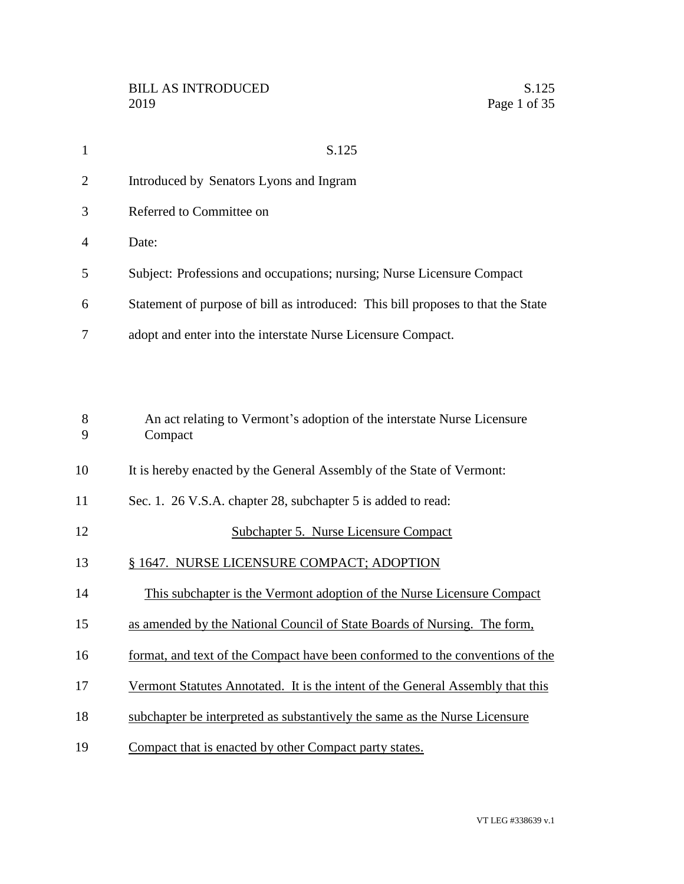| $\mathbf{1}$   | S.125                                                                              |
|----------------|------------------------------------------------------------------------------------|
| $\overline{2}$ | Introduced by Senators Lyons and Ingram                                            |
| 3              | Referred to Committee on                                                           |
| 4              | Date:                                                                              |
| 5              | Subject: Professions and occupations; nursing; Nurse Licensure Compact             |
| 6              | Statement of purpose of bill as introduced: This bill proposes to that the State   |
| 7              | adopt and enter into the interstate Nurse Licensure Compact.                       |
|                |                                                                                    |
| 8<br>9         | An act relating to Vermont's adoption of the interstate Nurse Licensure<br>Compact |
| 10             | It is hereby enacted by the General Assembly of the State of Vermont:              |
| 11             | Sec. 1. 26 V.S.A. chapter 28, subchapter 5 is added to read:                       |
| 12             | <b>Subchapter 5. Nurse Licensure Compact</b>                                       |
| 13             | § 1647. NURSE LICENSURE COMPACT; ADOPTION                                          |
| 14             | This subchapter is the Vermont adoption of the Nurse Licensure Compact             |
| 15             | as amended by the National Council of State Boards of Nursing. The form,           |
| 16             | format, and text of the Compact have been conformed to the conventions of the      |
| 17             | Vermont Statutes Annotated. It is the intent of the General Assembly that this     |
| 18             | subchapter be interpreted as substantively the same as the Nurse Licensure         |
| 19             | Compact that is enacted by other Compact party states.                             |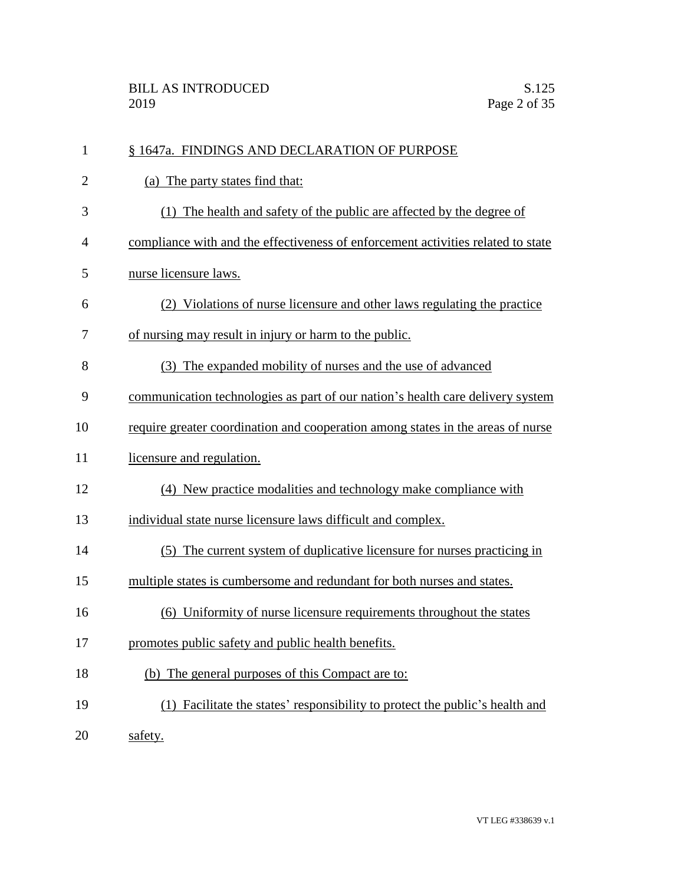| $\mathbf{1}$   | § 1647a. FINDINGS AND DECLARATION OF PURPOSE                                     |
|----------------|----------------------------------------------------------------------------------|
| $\overline{2}$ | (a) The party states find that:                                                  |
| 3              | The health and safety of the public are affected by the degree of<br>(1)         |
| $\overline{4}$ | compliance with and the effectiveness of enforcement activities related to state |
| 5              | nurse licensure laws.                                                            |
| 6              | (2) Violations of nurse licensure and other laws regulating the practice         |
| 7              | of nursing may result in injury or harm to the public.                           |
| 8              | (3) The expanded mobility of nurses and the use of advanced                      |
| 9              | communication technologies as part of our nation's health care delivery system   |
| 10             | require greater coordination and cooperation among states in the areas of nurse  |
| 11             | licensure and regulation.                                                        |
| 12             | (4) New practice modalities and technology make compliance with                  |
| 13             | individual state nurse licensure laws difficult and complex.                     |
| 14             | (5) The current system of duplicative licensure for nurses practicing in         |
| 15             | multiple states is cumbersome and redundant for both nurses and states.          |
| 16             | (6) Uniformity of nurse licensure requirements throughout the states             |
| 17             | promotes public safety and public health benefits.                               |
| 18             | The general purposes of this Compact are to:<br>(b)                              |
| 19             | (1) Facilitate the states' responsibility to protect the public's health and     |
| 20             | safety.                                                                          |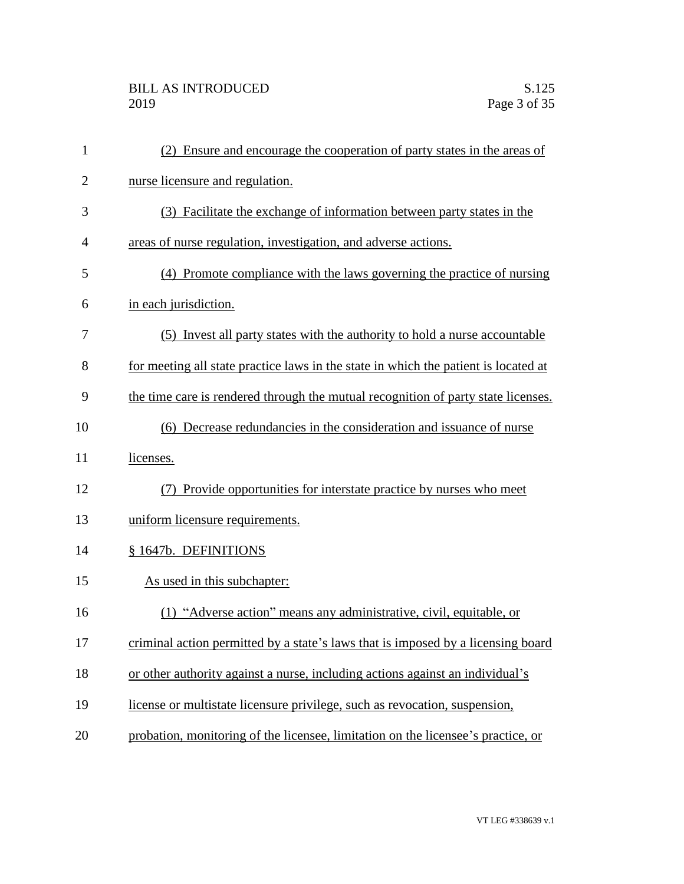## BILL AS INTRODUCED<br>2019 Page 3 of 35

| $\mathbf{1}$   | (2) Ensure and encourage the cooperation of party states in the areas of            |
|----------------|-------------------------------------------------------------------------------------|
| $\overline{2}$ | nurse licensure and regulation.                                                     |
| 3              | (3) Facilitate the exchange of information between party states in the              |
| 4              | areas of nurse regulation, investigation, and adverse actions.                      |
| 5              | (4) Promote compliance with the laws governing the practice of nursing              |
| 6              | in each jurisdiction.                                                               |
| 7              | (5) Invest all party states with the authority to hold a nurse accountable          |
| 8              | for meeting all state practice laws in the state in which the patient is located at |
| 9              | the time care is rendered through the mutual recognition of party state licenses.   |
| 10             | (6) Decrease redundancies in the consideration and issuance of nurse                |
| 11             | licenses.                                                                           |
| 12             | (7) Provide opportunities for interstate practice by nurses who meet                |
| 13             | uniform licensure requirements.                                                     |
| 14             | § 1647b. DEFINITIONS                                                                |
| 15             | As used in this subchapter:                                                         |
| 16             | (1) "Adverse action" means any administrative, civil, equitable, or                 |
| 17             | criminal action permitted by a state's laws that is imposed by a licensing board    |
| 18             | or other authority against a nurse, including actions against an individual's       |
| 19             | license or multistate licensure privilege, such as revocation, suspension,          |
| 20             | probation, monitoring of the licensee, limitation on the licensee's practice, or    |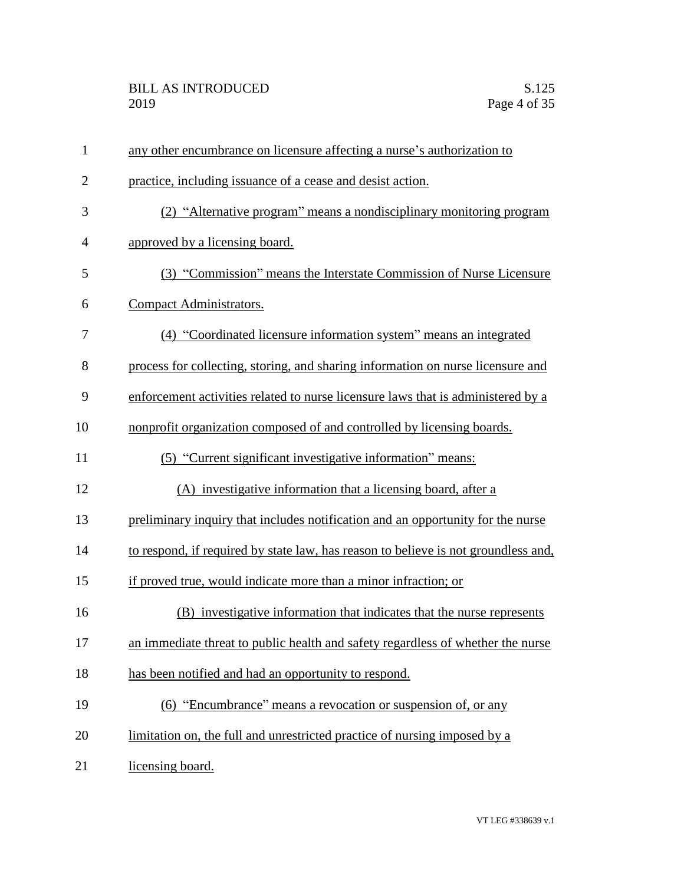| $\mathbf{1}$   | any other encumbrance on licensure affecting a nurse's authorization to            |
|----------------|------------------------------------------------------------------------------------|
| $\overline{2}$ | practice, including issuance of a cease and desist action.                         |
| 3              | (2) "Alternative program" means a nondisciplinary monitoring program               |
| $\overline{4}$ | approved by a licensing board.                                                     |
| 5              | (3) "Commission" means the Interstate Commission of Nurse Licensure                |
| 6              | Compact Administrators.                                                            |
| 7              | (4) "Coordinated licensure information system" means an integrated                 |
| 8              | process for collecting, storing, and sharing information on nurse licensure and    |
| 9              | enforcement activities related to nurse licensure laws that is administered by a   |
| 10             | nonprofit organization composed of and controlled by licensing boards.             |
| 11             | (5) "Current significant investigative information" means:                         |
| 12             | (A) investigative information that a licensing board, after a                      |
| 13             | preliminary inquiry that includes notification and an opportunity for the nurse    |
| 14             | to respond, if required by state law, has reason to believe is not groundless and, |
| 15             | if proved true, would indicate more than a minor infraction; or                    |
| 16             | (B) investigative information that indicates that the nurse represents             |
| 17             | an immediate threat to public health and safety regardless of whether the nurse    |
| 18             | has been notified and had an opportunity to respond.                               |
| 19             | (6) "Encumbrance" means a revocation or suspension of, or any                      |
| 20             | limitation on, the full and unrestricted practice of nursing imposed by a          |
| 21             | licensing board.                                                                   |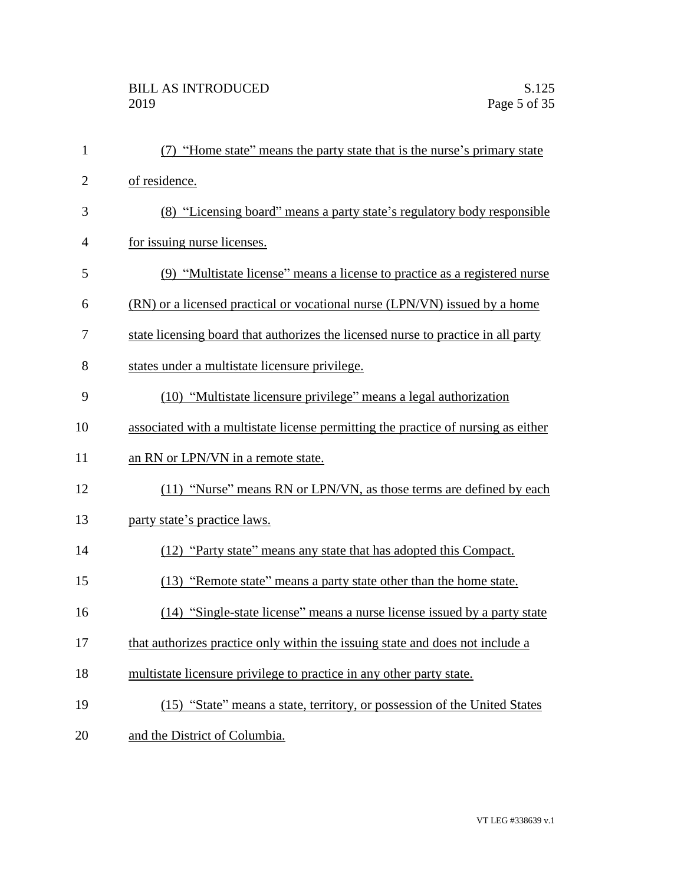| $\mathbf{1}$   | (7) "Home state" means the party state that is the nurse's primary state          |
|----------------|-----------------------------------------------------------------------------------|
| $\overline{2}$ | of residence.                                                                     |
| 3              | (8) "Licensing board" means a party state's regulatory body responsible           |
| $\overline{4}$ | for issuing nurse licenses.                                                       |
| 5              | (9) "Multistate license" means a license to practice as a registered nurse        |
| 6              | (RN) or a licensed practical or vocational nurse (LPN/VN) issued by a home        |
| 7              | state licensing board that authorizes the licensed nurse to practice in all party |
| 8              | states under a multistate licensure privilege.                                    |
| 9              | (10) "Multistate licensure privilege" means a legal authorization                 |
| 10             | associated with a multistate license permitting the practice of nursing as either |
| 11             | an RN or LPN/VN in a remote state.                                                |
| 12             | (11) "Nurse" means RN or LPN/VN, as those terms are defined by each               |
| 13             | party state's practice laws.                                                      |
| 14             | (12) "Party state" means any state that has adopted this Compact.                 |
| 15             | (13) "Remote state" means a party state other than the home state.                |
| 16             | (14) "Single-state license" means a nurse license issued by a party state         |
| 17             | that authorizes practice only within the issuing state and does not include a     |
| 18             | multistate licensure privilege to practice in any other party state.              |
| 19             | (15) "State" means a state, territory, or possession of the United States         |
| 20             | and the District of Columbia.                                                     |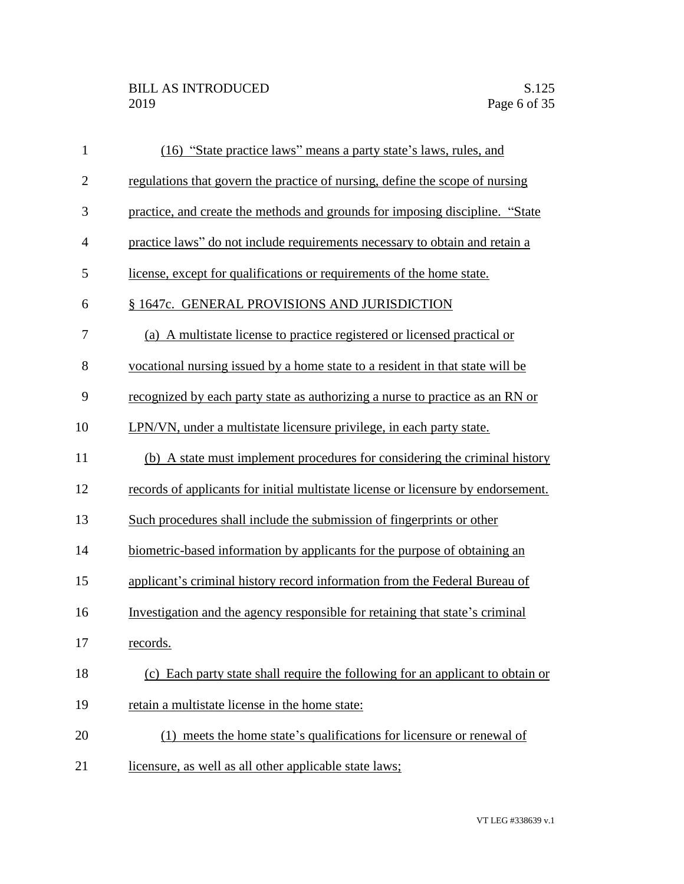| $\mathbf{1}$ | (16) "State practice laws" means a party state's laws, rules, and                 |
|--------------|-----------------------------------------------------------------------------------|
| $\mathbf{2}$ | regulations that govern the practice of nursing, define the scope of nursing      |
| 3            | practice, and create the methods and grounds for imposing discipline. "State      |
| 4            | practice laws" do not include requirements necessary to obtain and retain a       |
| 5            | license, except for qualifications or requirements of the home state.             |
| 6            | § 1647c. GENERAL PROVISIONS AND JURISDICTION                                      |
| 7            | (a) A multistate license to practice registered or licensed practical or          |
| 8            | vocational nursing issued by a home state to a resident in that state will be     |
| 9            | recognized by each party state as authorizing a nurse to practice as an RN or     |
| 10           | LPN/VN, under a multistate licensure privilege, in each party state.              |
| 11           | (b) A state must implement procedures for considering the criminal history        |
| 12           | records of applicants for initial multistate license or licensure by endorsement. |
| 13           | Such procedures shall include the submission of fingerprints or other             |
| 14           | biometric-based information by applicants for the purpose of obtaining an         |
| 15           | applicant's criminal history record information from the Federal Bureau of        |
| 16           | Investigation and the agency responsible for retaining that state's criminal      |
| 17           | records.                                                                          |
| 18           | (c) Each party state shall require the following for an applicant to obtain or    |
| 19           | retain a multistate license in the home state:                                    |
| 20           | (1) meets the home state's qualifications for licensure or renewal of             |
| 21           | licensure, as well as all other applicable state laws;                            |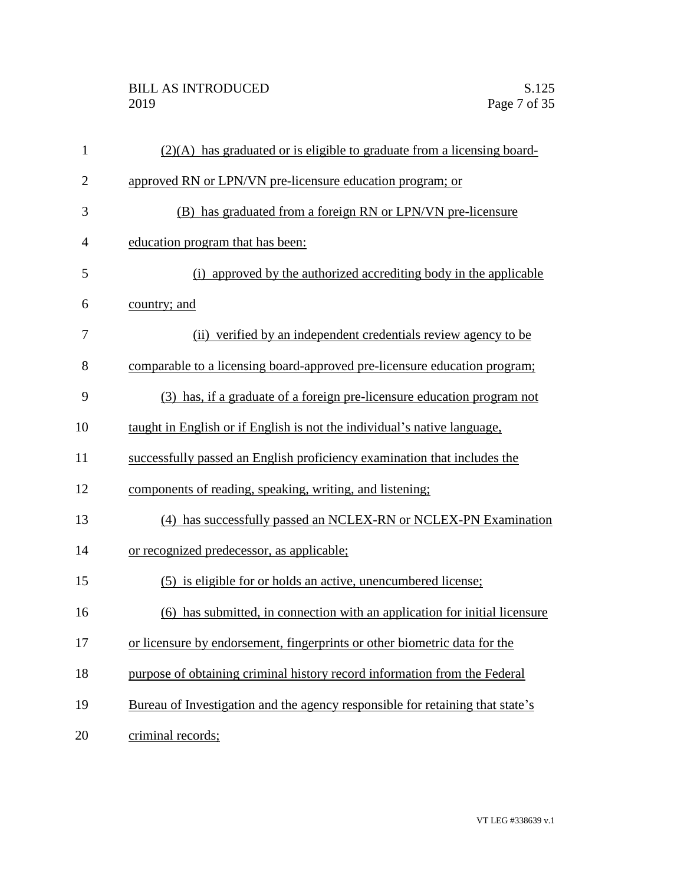| $\mathbf{1}$   | $(2)(A)$ has graduated or is eligible to graduate from a licensing board-     |
|----------------|-------------------------------------------------------------------------------|
| $\mathbf{2}$   | approved RN or LPN/VN pre-licensure education program; or                     |
| 3              | (B) has graduated from a foreign RN or LPN/VN pre-licensure                   |
| $\overline{4}$ | education program that has been:                                              |
| 5              | (i) approved by the authorized accrediting body in the applicable             |
| 6              | country; and                                                                  |
| 7              | (ii) verified by an independent credentials review agency to be               |
| 8              | comparable to a licensing board-approved pre-licensure education program;     |
| 9              | (3) has, if a graduate of a foreign pre-licensure education program not       |
| 10             | taught in English or if English is not the individual's native language,      |
| 11             | successfully passed an English proficiency examination that includes the      |
| 12             | components of reading, speaking, writing, and listening;                      |
| 13             | (4) has successfully passed an NCLEX-RN or NCLEX-PN Examination               |
| 14             | or recognized predecessor, as applicable;                                     |
| 15             | (5) is eligible for or holds an active, unencumbered license;                 |
| 16             | (6) has submitted, in connection with an application for initial licensure    |
| 17             | or licensure by endorsement, fingerprints or other biometric data for the     |
| 18             | purpose of obtaining criminal history record information from the Federal     |
| 19             | Bureau of Investigation and the agency responsible for retaining that state's |
| 20             | criminal records;                                                             |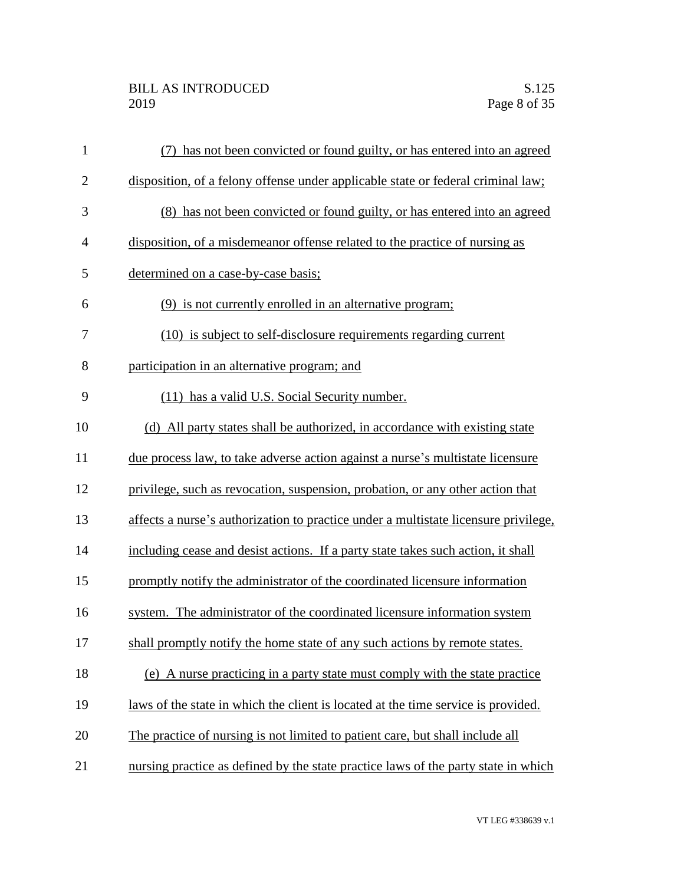## BILL AS INTRODUCED<br>2019 Page 8 of 35

| $\mathbf{1}$   | has not been convicted or found guilty, or has entered into an agreed               |
|----------------|-------------------------------------------------------------------------------------|
| $\overline{2}$ | disposition, of a felony offense under applicable state or federal criminal law;    |
| 3              | (8) has not been convicted or found guilty, or has entered into an agreed           |
| $\overline{4}$ | disposition, of a misdemeanor offense related to the practice of nursing as         |
| 5              | determined on a case-by-case basis;                                                 |
| 6              | (9) is not currently enrolled in an alternative program;                            |
| 7              | (10) is subject to self-disclosure requirements regarding current                   |
| 8              | participation in an alternative program; and                                        |
| 9              | (11) has a valid U.S. Social Security number.                                       |
| 10             | (d) All party states shall be authorized, in accordance with existing state         |
| 11             | due process law, to take adverse action against a nurse's multistate licensure      |
| 12             | privilege, such as revocation, suspension, probation, or any other action that      |
| 13             | affects a nurse's authorization to practice under a multistate licensure privilege, |
| 14             | including cease and desist actions. If a party state takes such action, it shall    |
| 15             | promptly notify the administrator of the coordinated licensure information          |
| 16             | system. The administrator of the coordinated licensure information system           |
| 17             | shall promptly notify the home state of any such actions by remote states.          |
| 18             | (e) A nurse practicing in a party state must comply with the state practice         |
| 19             | laws of the state in which the client is located at the time service is provided.   |
| 20             | The practice of nursing is not limited to patient care, but shall include all       |
| 21             | nursing practice as defined by the state practice laws of the party state in which  |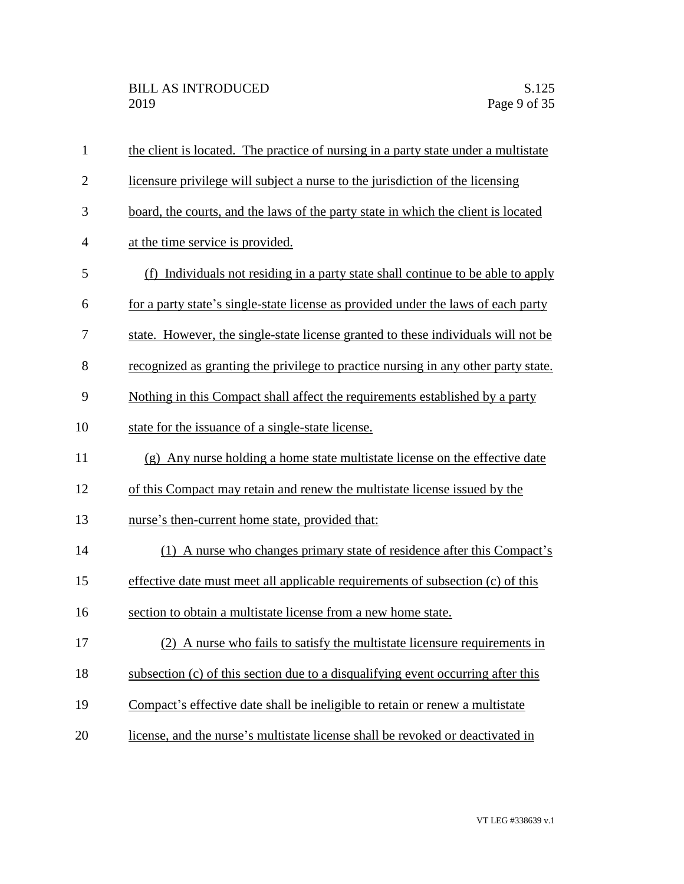| $\mathbf{1}$   | the client is located. The practice of nursing in a party state under a multistate |
|----------------|------------------------------------------------------------------------------------|
| $\overline{2}$ | licensure privilege will subject a nurse to the jurisdiction of the licensing      |
| 3              | board, the courts, and the laws of the party state in which the client is located  |
| $\overline{4}$ | at the time service is provided.                                                   |
| 5              | (f) Individuals not residing in a party state shall continue to be able to apply   |
| 6              | for a party state's single-state license as provided under the laws of each party  |
| 7              | state. However, the single-state license granted to these individuals will not be  |
| 8              | recognized as granting the privilege to practice nursing in any other party state. |
| 9              | Nothing in this Compact shall affect the requirements established by a party       |
| 10             | state for the issuance of a single-state license.                                  |
| 11             | (g) Any nurse holding a home state multistate license on the effective date        |
| 12             | of this Compact may retain and renew the multistate license issued by the          |
| 13             | nurse's then-current home state, provided that:                                    |
| 14             | (1) A nurse who changes primary state of residence after this Compact's            |
| 15             | effective date must meet all applicable requirements of subsection (c) of this     |
| 16             | section to obtain a multistate license from a new home state.                      |
| 17             | (2) A nurse who fails to satisfy the multistate licensure requirements in          |
| 18             | subsection (c) of this section due to a disqualifying event occurring after this   |
| 19             | Compact's effective date shall be ineligible to retain or renew a multistate       |
| 20             | license, and the nurse's multistate license shall be revoked or deactivated in     |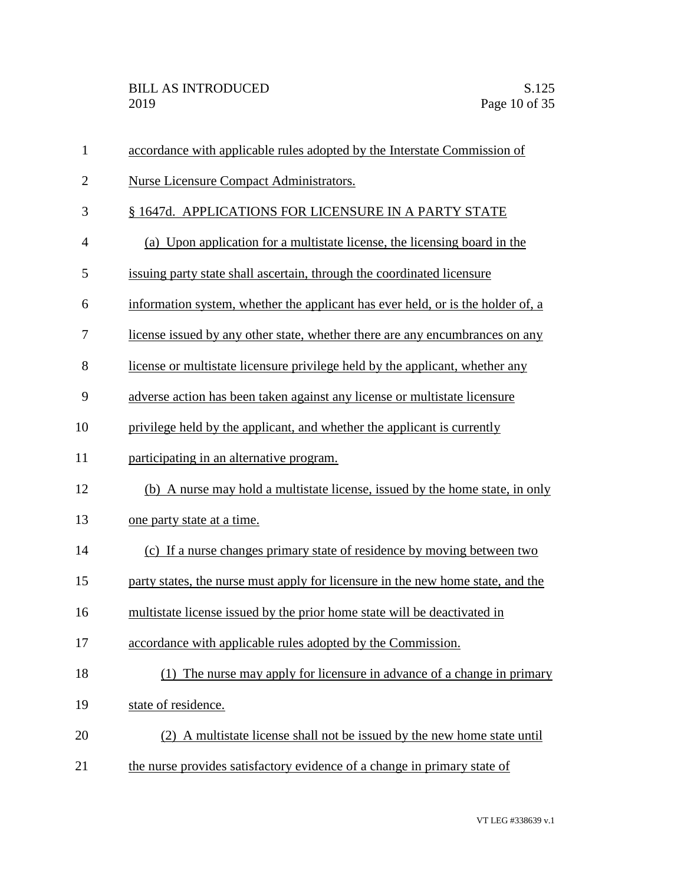| $\mathbf{1}$   | accordance with applicable rules adopted by the Interstate Commission of        |
|----------------|---------------------------------------------------------------------------------|
| $\overline{2}$ | <b>Nurse Licensure Compact Administrators.</b>                                  |
| 3              | § 1647d. APPLICATIONS FOR LICENSURE IN A PARTY STATE                            |
| $\overline{4}$ | (a) Upon application for a multistate license, the licensing board in the       |
| 5              | issuing party state shall ascertain, through the coordinated licensure          |
| 6              | information system, whether the applicant has ever held, or is the holder of, a |
| 7              | license issued by any other state, whether there are any encumbrances on any    |
| 8              | license or multistate licensure privilege held by the applicant, whether any    |
| 9              | adverse action has been taken against any license or multistate licensure       |
| 10             | privilege held by the applicant, and whether the applicant is currently         |
| 11             | participating in an alternative program.                                        |
| 12             | (b) A nurse may hold a multistate license, issued by the home state, in only    |
| 13             | one party state at a time.                                                      |
| 14             | (c) If a nurse changes primary state of residence by moving between two         |
| 15             | party states, the nurse must apply for licensure in the new home state, and the |
| 16             | multistate license issued by the prior home state will be deactivated in        |
| 17             | accordance with applicable rules adopted by the Commission.                     |
| 18             | The nurse may apply for licensure in advance of a change in primary<br>(1)      |
| 19             | state of residence.                                                             |
| 20             | (2) A multistate license shall not be issued by the new home state until        |
| 21             | the nurse provides satisfactory evidence of a change in primary state of        |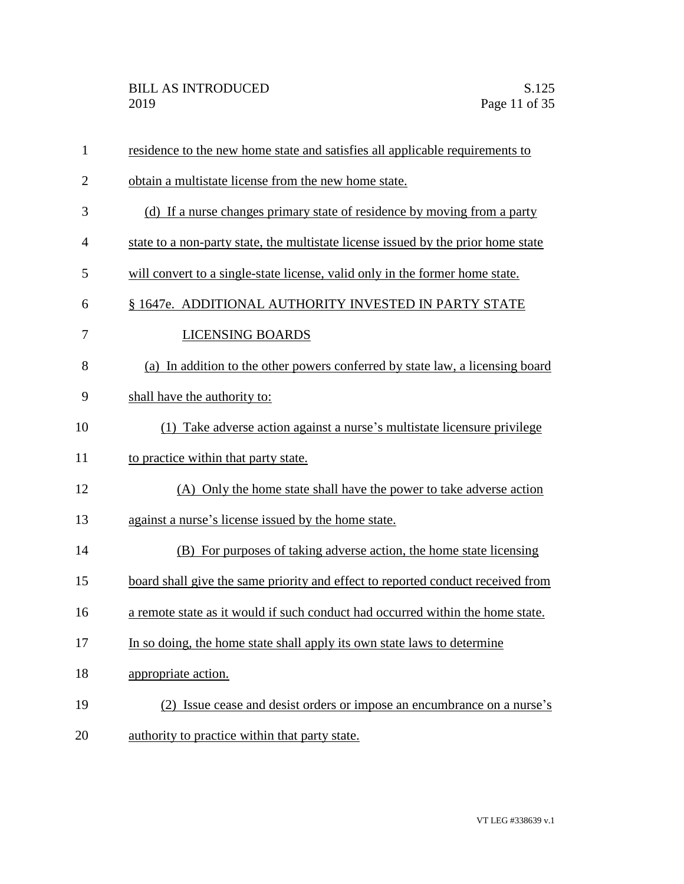| $\mathbf{1}$   | residence to the new home state and satisfies all applicable requirements to      |
|----------------|-----------------------------------------------------------------------------------|
| $\overline{2}$ | obtain a multistate license from the new home state.                              |
| 3              | (d) If a nurse changes primary state of residence by moving from a party          |
| $\overline{4}$ | state to a non-party state, the multistate license issued by the prior home state |
| 5              | will convert to a single-state license, valid only in the former home state.      |
| 6              | § 1647e. ADDITIONAL AUTHORITY INVESTED IN PARTY STATE                             |
| 7              | <b>LICENSING BOARDS</b>                                                           |
| 8              | (a) In addition to the other powers conferred by state law, a licensing board     |
| 9              | shall have the authority to:                                                      |
| 10             | (1) Take adverse action against a nurse's multistate licensure privilege          |
| 11             | to practice within that party state.                                              |
| 12             | (A) Only the home state shall have the power to take adverse action               |
| 13             | against a nurse's license issued by the home state.                               |
| 14             | (B) For purposes of taking adverse action, the home state licensing               |
| 15             | board shall give the same priority and effect to reported conduct received from   |
| 16             | a remote state as it would if such conduct had occurred within the home state.    |
| 17             | In so doing, the home state shall apply its own state laws to determine           |
| 18             | appropriate action.                                                               |
| 19             | (2) Issue cease and desist orders or impose an encumbrance on a nurse's           |
| 20             | authority to practice within that party state.                                    |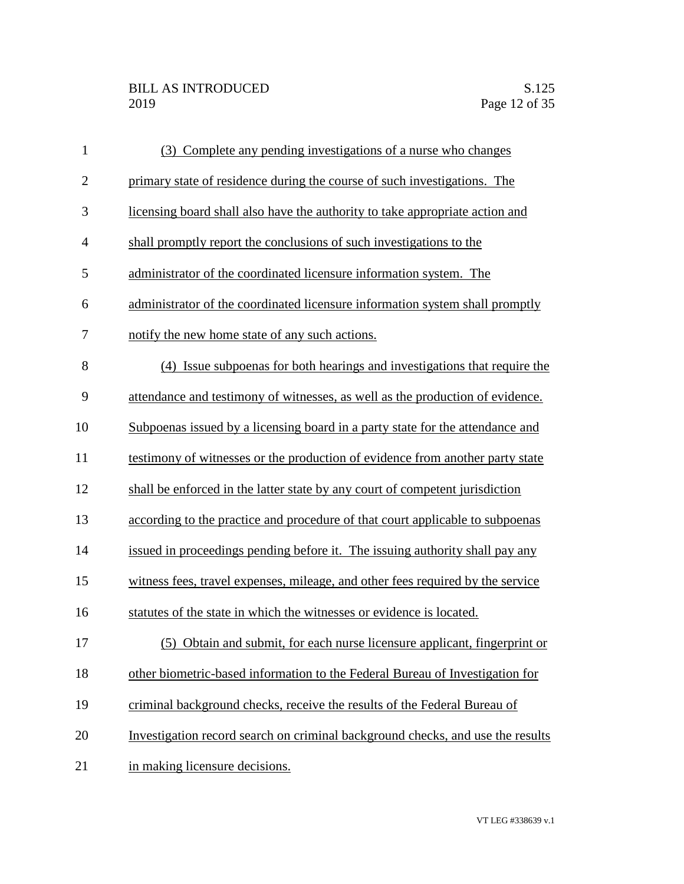| $\mathbf{1}$   | (3) Complete any pending investigations of a nurse who changes                 |
|----------------|--------------------------------------------------------------------------------|
| $\mathbf{2}$   | primary state of residence during the course of such investigations. The       |
| 3              | licensing board shall also have the authority to take appropriate action and   |
| $\overline{4}$ | shall promptly report the conclusions of such investigations to the            |
| 5              | administrator of the coordinated licensure information system. The             |
| 6              | administrator of the coordinated licensure information system shall promptly   |
| 7              | notify the new home state of any such actions.                                 |
| 8              | (4) Issue subpoenas for both hearings and investigations that require the      |
| 9              | attendance and testimony of witnesses, as well as the production of evidence.  |
| 10             | Subpoenas issued by a licensing board in a party state for the attendance and  |
| 11             | testimony of witnesses or the production of evidence from another party state  |
| 12             | shall be enforced in the latter state by any court of competent jurisdiction   |
| 13             | according to the practice and procedure of that court applicable to subpoenas  |
| 14             | issued in proceedings pending before it. The issuing authority shall pay any   |
| 15             | witness fees, travel expenses, mileage, and other fees required by the service |
| 16             | statutes of the state in which the witnesses or evidence is located.           |
| 17             | (5) Obtain and submit, for each nurse licensure applicant, fingerprint or      |
| 18             | other biometric-based information to the Federal Bureau of Investigation for   |
| 19             | criminal background checks, receive the results of the Federal Bureau of       |
| 20             | Investigation record search on criminal background checks, and use the results |
| 21             | in making licensure decisions.                                                 |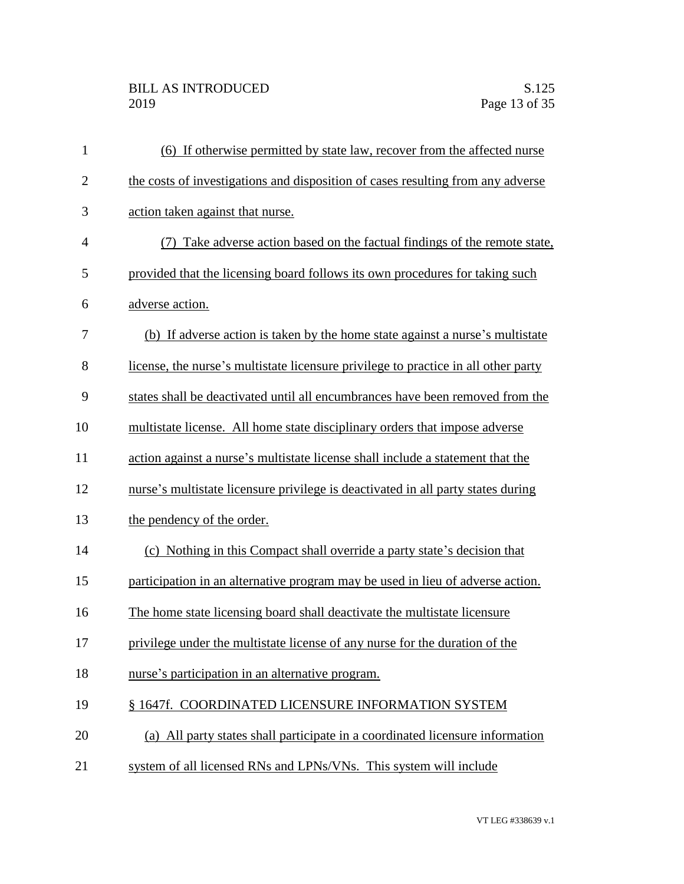| $\mathbf{1}$   | (6) If otherwise permitted by state law, recover from the affected nurse           |
|----------------|------------------------------------------------------------------------------------|
| $\overline{2}$ | the costs of investigations and disposition of cases resulting from any adverse    |
| 3              | action taken against that nurse.                                                   |
| $\overline{4}$ | (7) Take adverse action based on the factual findings of the remote state,         |
| 5              | provided that the licensing board follows its own procedures for taking such       |
| 6              | adverse action.                                                                    |
| 7              | (b) If adverse action is taken by the home state against a nurse's multistate      |
| 8              | license, the nurse's multistate licensure privilege to practice in all other party |
| 9              | states shall be deactivated until all encumbrances have been removed from the      |
| 10             | multistate license. All home state disciplinary orders that impose adverse         |
| 11             | action against a nurse's multistate license shall include a statement that the     |
| 12             | nurse's multistate licensure privilege is deactivated in all party states during   |
| 13             | the pendency of the order.                                                         |
| 14             | (c) Nothing in this Compact shall override a party state's decision that           |
| 15             | participation in an alternative program may be used in lieu of adverse action.     |
| 16             | The home state licensing board shall deactivate the multistate licensure           |
| 17             | privilege under the multistate license of any nurse for the duration of the        |
| 18             | nurse's participation in an alternative program.                                   |
| 19             | § 1647f. COORDINATED LICENSURE INFORMATION SYSTEM                                  |
| 20             | (a) All party states shall participate in a coordinated licensure information      |
| 21             | system of all licensed RNs and LPNs/VNs. This system will include                  |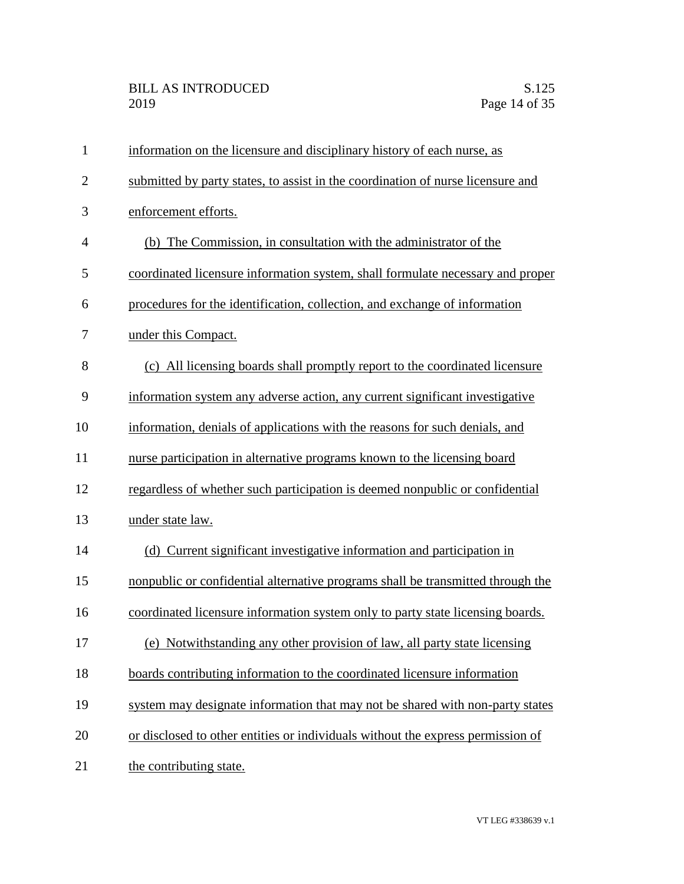| $\mathbf{1}$   | information on the licensure and disciplinary history of each nurse, as         |
|----------------|---------------------------------------------------------------------------------|
| $\overline{2}$ | submitted by party states, to assist in the coordination of nurse licensure and |
| 3              | enforcement efforts.                                                            |
| $\overline{4}$ | (b) The Commission, in consultation with the administrator of the               |
| 5              | coordinated licensure information system, shall formulate necessary and proper  |
| 6              | procedures for the identification, collection, and exchange of information      |
| 7              | under this Compact.                                                             |
| 8              | (c) All licensing boards shall promptly report to the coordinated licensure     |
| 9              | information system any adverse action, any current significant investigative    |
| 10             | information, denials of applications with the reasons for such denials, and     |
| 11             | nurse participation in alternative programs known to the licensing board        |
| 12             | regardless of whether such participation is deemed nonpublic or confidential    |
| 13             | under state law.                                                                |
| 14             | (d) Current significant investigative information and participation in          |
| 15             | nonpublic or confidential alternative programs shall be transmitted through the |
| 16             | coordinated licensure information system only to party state licensing boards.  |
| 17             | (e) Notwithstanding any other provision of law, all party state licensing       |
| 18             | boards contributing information to the coordinated licensure information        |
| 19             | system may designate information that may not be shared with non-party states   |
| 20             | or disclosed to other entities or individuals without the express permission of |
| 21             | the contributing state.                                                         |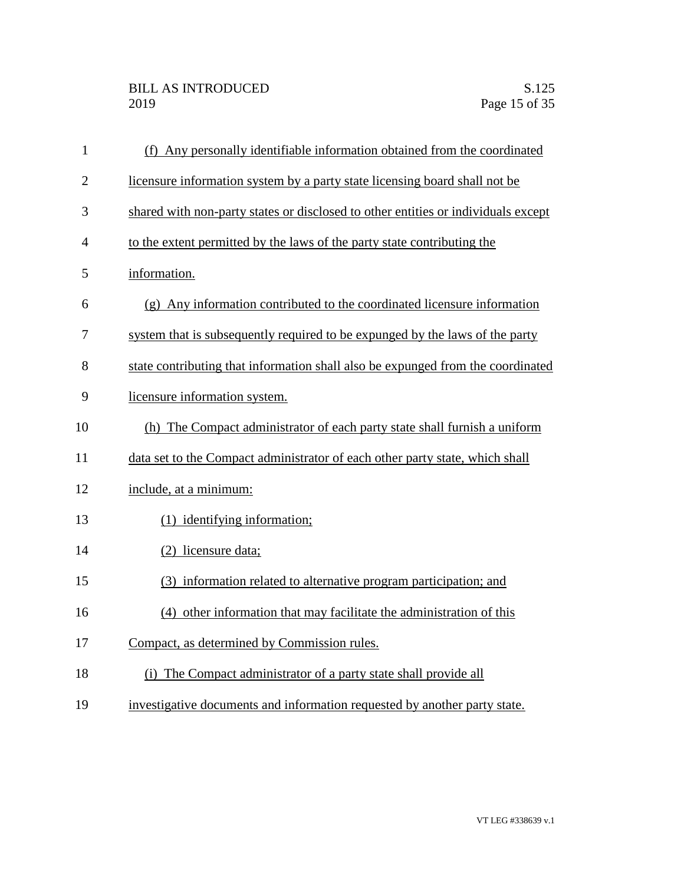| $\mathbf{1}$   | (f) Any personally identifiable information obtained from the coordinated         |
|----------------|-----------------------------------------------------------------------------------|
| $\overline{2}$ | licensure information system by a party state licensing board shall not be        |
| 3              | shared with non-party states or disclosed to other entities or individuals except |
| 4              | to the extent permitted by the laws of the party state contributing the           |
| 5              | information.                                                                      |
| 6              | (g) Any information contributed to the coordinated licensure information          |
| 7              | system that is subsequently required to be expunged by the laws of the party      |
| 8              | state contributing that information shall also be expunged from the coordinated   |
| 9              | licensure information system.                                                     |
| 10             | (h) The Compact administrator of each party state shall furnish a uniform         |
| 11             | data set to the Compact administrator of each other party state, which shall      |
| 12             | include, at a minimum:                                                            |
| 13             | (1) identifying information;                                                      |
| 14             | (2) licensure data;                                                               |
| 15             | (3) information related to alternative program participation; and                 |
| 16             | (4) other information that may facilitate the administration of this              |
| 17             | Compact, as determined by Commission rules.                                       |
| 18             | (i) The Compact administrator of a party state shall provide all                  |
| 19             | investigative documents and information requested by another party state.         |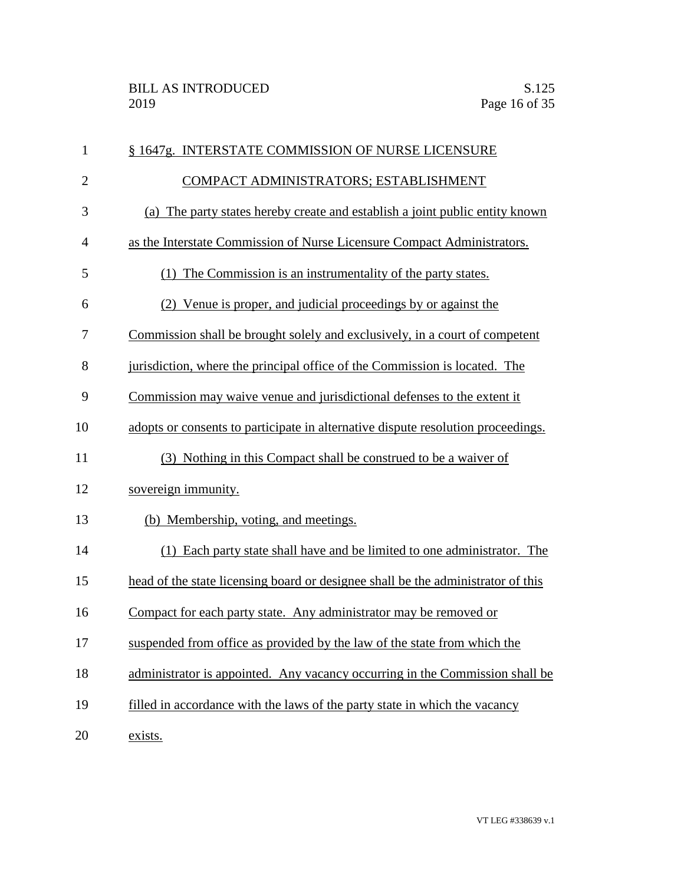| $\mathbf{1}$   | § 1647g. INTERSTATE COMMISSION OF NURSE LICENSURE                                |
|----------------|----------------------------------------------------------------------------------|
| $\overline{2}$ | COMPACT ADMINISTRATORS; ESTABLISHMENT                                            |
| 3              | (a) The party states hereby create and establish a joint public entity known     |
| $\overline{4}$ | as the Interstate Commission of Nurse Licensure Compact Administrators.          |
| 5              | (1) The Commission is an instrumentality of the party states.                    |
| 6              | (2) Venue is proper, and judicial proceedings by or against the                  |
| 7              | Commission shall be brought solely and exclusively, in a court of competent      |
| 8              | jurisdiction, where the principal office of the Commission is located. The       |
| 9              | Commission may waive venue and jurisdictional defenses to the extent it          |
| 10             | adopts or consents to participate in alternative dispute resolution proceedings. |
| 11             | (3) Nothing in this Compact shall be construed to be a waiver of                 |
| 12             | sovereign immunity.                                                              |
| 13             | (b) Membership, voting, and meetings.                                            |
| 14             | (1) Each party state shall have and be limited to one administrator. The         |
| 15             | head of the state licensing board or designee shall be the administrator of this |
| 16             | Compact for each party state. Any administrator may be removed or                |
| 17             | suspended from office as provided by the law of the state from which the         |
| 18             | administrator is appointed. Any vacancy occurring in the Commission shall be     |
| 19             | filled in accordance with the laws of the party state in which the vacancy       |
| 20             | exists.                                                                          |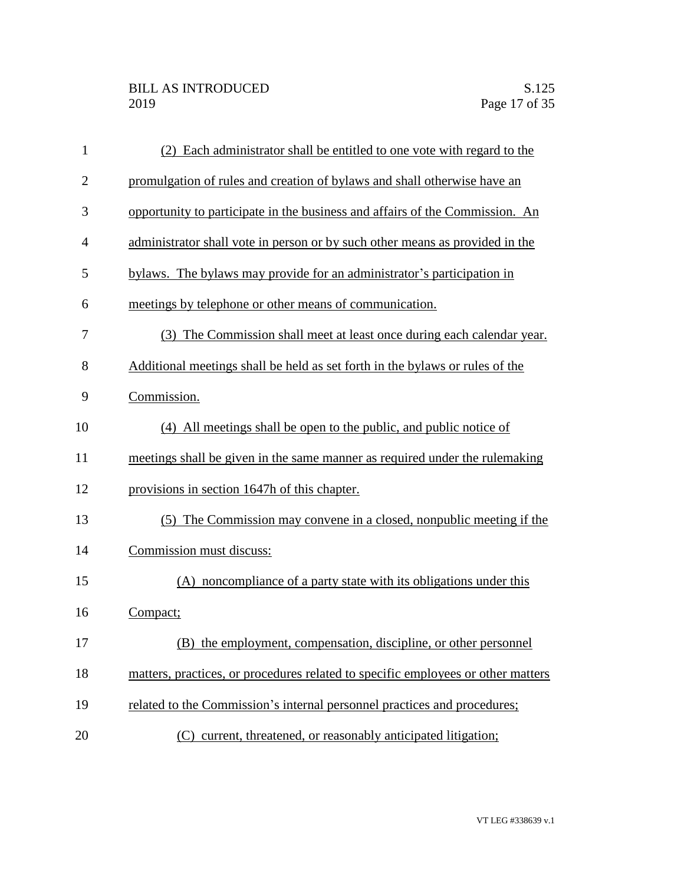| $\mathbf{1}$   | (2) Each administrator shall be entitled to one vote with regard to the          |
|----------------|----------------------------------------------------------------------------------|
| $\overline{2}$ | promulgation of rules and creation of bylaws and shall otherwise have an         |
| 3              | opportunity to participate in the business and affairs of the Commission. An     |
| $\overline{4}$ | administrator shall vote in person or by such other means as provided in the     |
| 5              | bylaws. The bylaws may provide for an administrator's participation in           |
| 6              | meetings by telephone or other means of communication.                           |
| 7              | (3) The Commission shall meet at least once during each calendar year.           |
| 8              | Additional meetings shall be held as set forth in the bylaws or rules of the     |
| 9              | Commission.                                                                      |
| 10             | (4) All meetings shall be open to the public, and public notice of               |
| 11             | meetings shall be given in the same manner as required under the rulemaking      |
| 12             | provisions in section 1647h of this chapter.                                     |
| 13             | (5) The Commission may convene in a closed, nonpublic meeting if the             |
| 14             | Commission must discuss:                                                         |
| 15             | (A) noncompliance of a party state with its obligations under this               |
| 16             | Compact;                                                                         |
| 17             | (B) the employment, compensation, discipline, or other personnel                 |
| 18             | matters, practices, or procedures related to specific employees or other matters |
| 19             | related to the Commission's internal personnel practices and procedures;         |
| 20             | current, threatened, or reasonably anticipated litigation;<br>(C)                |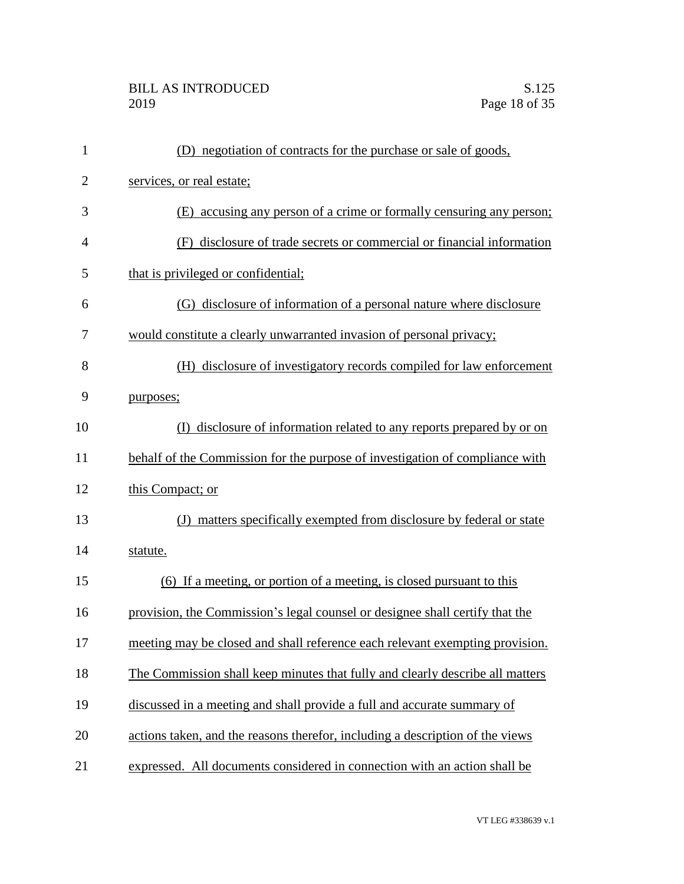| $\mathbf{1}$   | (D) negotiation of contracts for the purchase or sale of goods,               |
|----------------|-------------------------------------------------------------------------------|
| $\overline{2}$ | services, or real estate;                                                     |
| 3              | (E) accusing any person of a crime or formally censuring any person;          |
| $\overline{4}$ | (F) disclosure of trade secrets or commercial or financial information        |
| 5              | that is privileged or confidential;                                           |
| 6              | (G) disclosure of information of a personal nature where disclosure           |
| 7              | would constitute a clearly unwarranted invasion of personal privacy;          |
| 8              | disclosure of investigatory records compiled for law enforcement<br>(H)       |
| 9              | purposes;                                                                     |
| 10             | disclosure of information related to any reports prepared by or on<br>(D      |
| 11             | behalf of the Commission for the purpose of investigation of compliance with  |
| 12             | this Compact; or                                                              |
| 13             | (J) matters specifically exempted from disclosure by federal or state         |
| 14             | statute.                                                                      |
| 15             | (6) If a meeting, or portion of a meeting, is closed pursuant to this         |
| 16             | provision, the Commission's legal counsel or designee shall certify that the  |
| 17             | meeting may be closed and shall reference each relevant exempting provision.  |
| 18             | The Commission shall keep minutes that fully and clearly describe all matters |
| 19             | discussed in a meeting and shall provide a full and accurate summary of       |
| 20             | actions taken, and the reasons therefor, including a description of the views |
| 21             | expressed. All documents considered in connection with an action shall be     |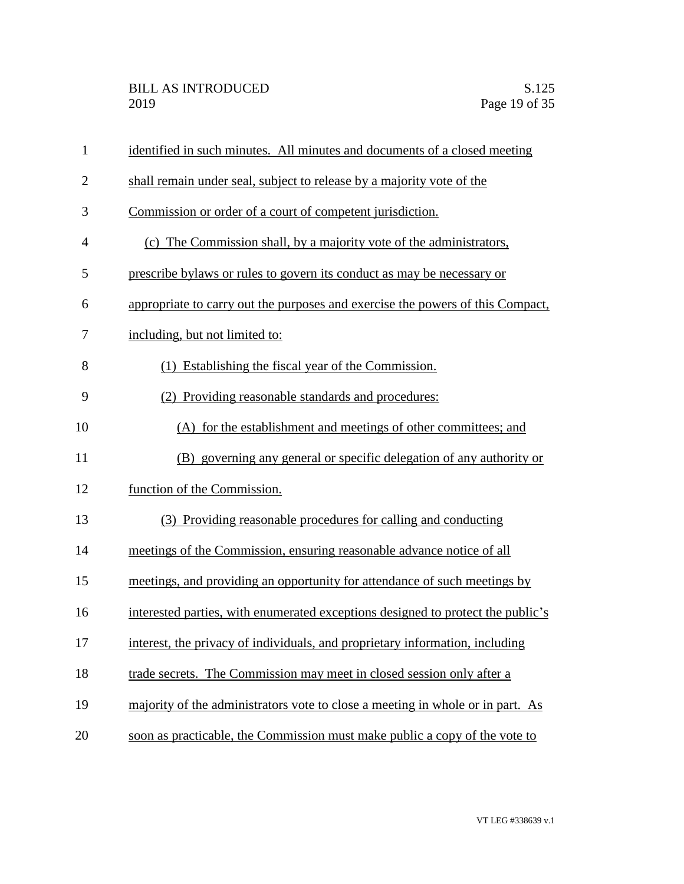| $\mathbf{1}$   | identified in such minutes. All minutes and documents of a closed meeting       |
|----------------|---------------------------------------------------------------------------------|
| $\overline{2}$ | shall remain under seal, subject to release by a majority vote of the           |
| 3              | Commission or order of a court of competent jurisdiction.                       |
| $\overline{4}$ | (c) The Commission shall, by a majority vote of the administrators,             |
| 5              | prescribe by laws or rules to govern its conduct as may be necessary or         |
| 6              | appropriate to carry out the purposes and exercise the powers of this Compact,  |
| 7              | including, but not limited to:                                                  |
| 8              | (1) Establishing the fiscal year of the Commission.                             |
| 9              | (2) Providing reasonable standards and procedures:                              |
| 10             | (A) for the establishment and meetings of other committees; and                 |
| 11             | (B) governing any general or specific delegation of any authority or            |
| 12             | function of the Commission.                                                     |
| 13             | (3) Providing reasonable procedures for calling and conducting                  |
| 14             | meetings of the Commission, ensuring reasonable advance notice of all           |
| 15             | meetings, and providing an opportunity for attendance of such meetings by       |
| 16             | interested parties, with enumerated exceptions designed to protect the public's |
| 17             | interest, the privacy of individuals, and proprietary information, including    |
| 18             | trade secrets. The Commission may meet in closed session only after a           |
| 19             | majority of the administrators vote to close a meeting in whole or in part. As  |
| 20             | soon as practicable, the Commission must make public a copy of the vote to      |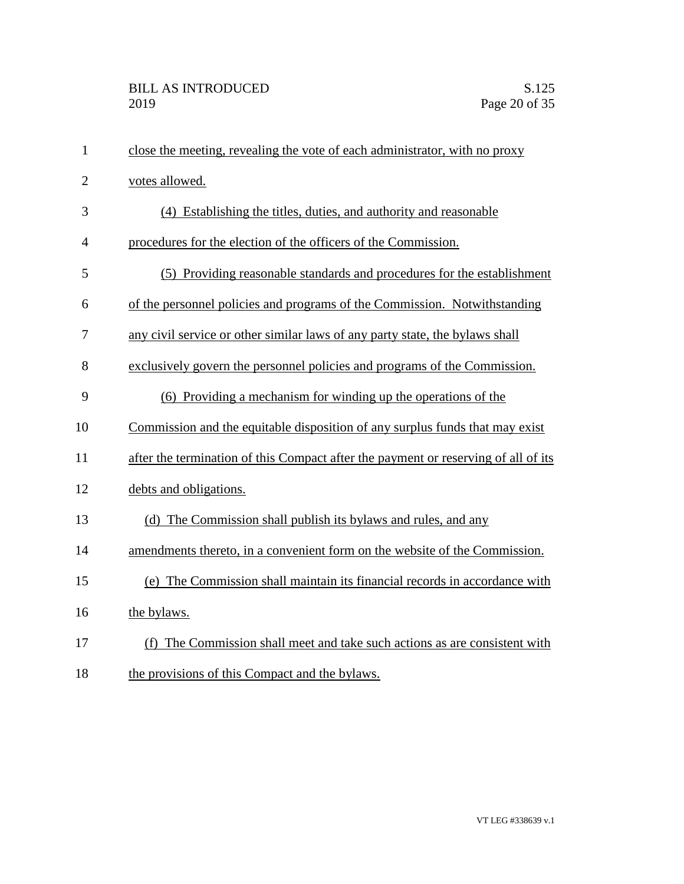| $\mathbf{1}$   | close the meeting, revealing the vote of each administrator, with no proxy         |
|----------------|------------------------------------------------------------------------------------|
| $\overline{2}$ | votes allowed.                                                                     |
| 3              | (4) Establishing the titles, duties, and authority and reasonable                  |
| 4              | procedures for the election of the officers of the Commission.                     |
| 5              | (5) Providing reasonable standards and procedures for the establishment            |
| 6              | of the personnel policies and programs of the Commission. Notwithstanding          |
| 7              | any civil service or other similar laws of any party state, the bylaws shall       |
| 8              | exclusively govern the personnel policies and programs of the Commission.          |
| 9              | (6) Providing a mechanism for winding up the operations of the                     |
| 10             | Commission and the equitable disposition of any surplus funds that may exist       |
| 11             | after the termination of this Compact after the payment or reserving of all of its |
| 12             | debts and obligations.                                                             |
| 13             | (d) The Commission shall publish its bylaws and rules, and any                     |
| 14             | amendments thereto, in a convenient form on the website of the Commission.         |
| 15             | (e) The Commission shall maintain its financial records in accordance with         |
| 16             | the bylaws.                                                                        |
| 17             | (f) The Commission shall meet and take such actions as are consistent with         |
| 18             | the provisions of this Compact and the bylaws.                                     |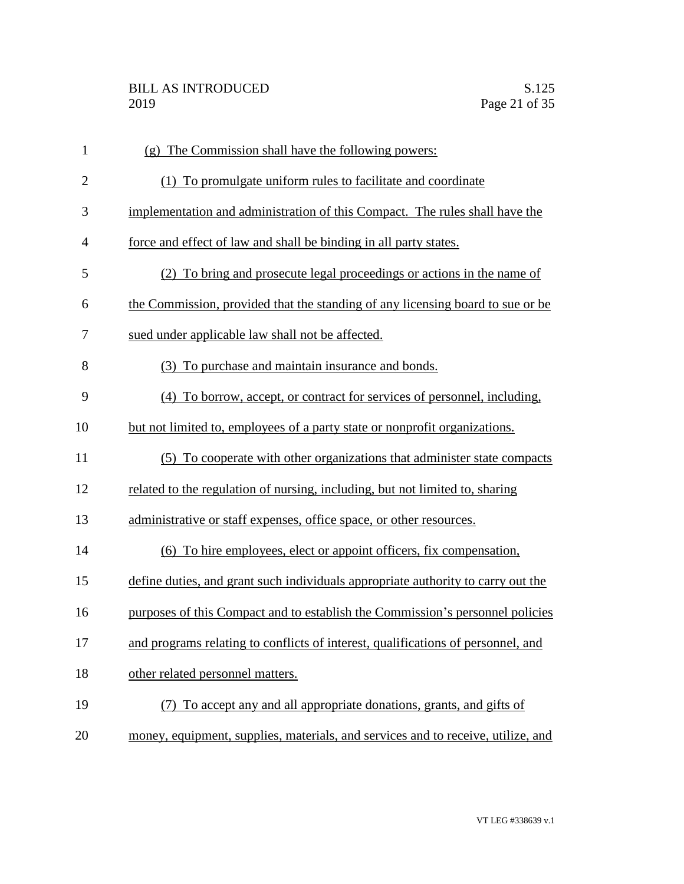| $\mathbf{1}$   | (g) The Commission shall have the following powers:                              |
|----------------|----------------------------------------------------------------------------------|
| $\overline{2}$ | (1) To promulgate uniform rules to facilitate and coordinate                     |
| 3              | implementation and administration of this Compact. The rules shall have the      |
| $\overline{4}$ | force and effect of law and shall be binding in all party states.                |
| 5              | (2) To bring and prosecute legal proceedings or actions in the name of           |
| 6              | the Commission, provided that the standing of any licensing board to sue or be   |
| 7              | sued under applicable law shall not be affected.                                 |
| 8              | (3) To purchase and maintain insurance and bonds.                                |
| 9              | (4) To borrow, accept, or contract for services of personnel, including,         |
| 10             | but not limited to, employees of a party state or nonprofit organizations.       |
| 11             | (5) To cooperate with other organizations that administer state compacts         |
| 12             | related to the regulation of nursing, including, but not limited to, sharing     |
| 13             | administrative or staff expenses, office space, or other resources.              |
| 14             | (6) To hire employees, elect or appoint officers, fix compensation,              |
| 15             | define duties, and grant such individuals appropriate authority to carry out the |
| 16             | purposes of this Compact and to establish the Commission's personnel policies    |
| 17             | and programs relating to conflicts of interest, qualifications of personnel, and |
| 18             | other related personnel matters.                                                 |
| 19             | To accept any and all appropriate donations, grants, and gifts of                |
| 20             | money, equipment, supplies, materials, and services and to receive, utilize, and |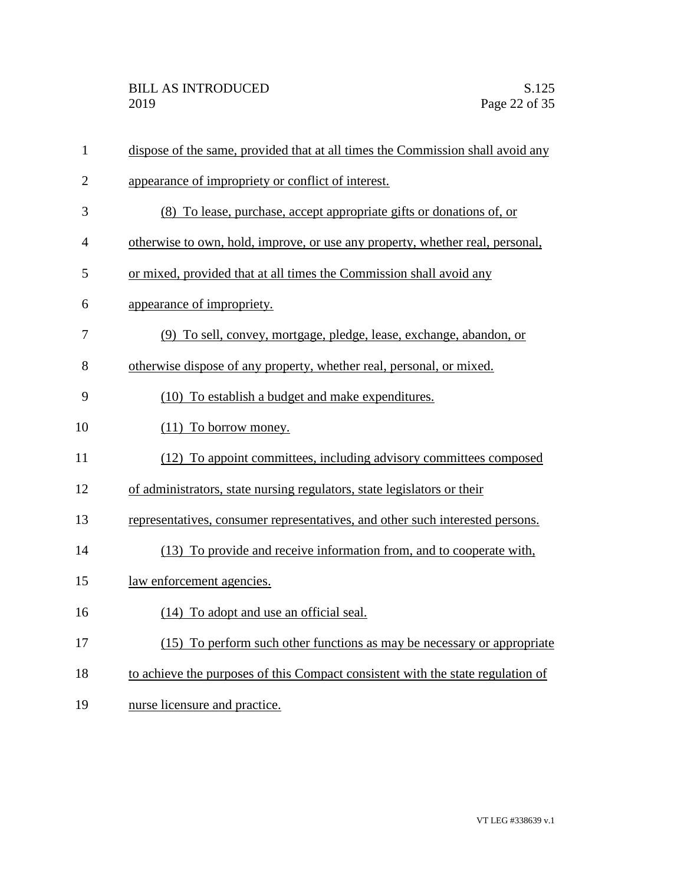| $\mathbf{1}$   | dispose of the same, provided that at all times the Commission shall avoid any  |
|----------------|---------------------------------------------------------------------------------|
| $\overline{2}$ | appearance of impropriety or conflict of interest.                              |
| 3              | (8) To lease, purchase, accept appropriate gifts or donations of, or            |
| $\overline{4}$ | otherwise to own, hold, improve, or use any property, whether real, personal,   |
| 5              | or mixed, provided that at all times the Commission shall avoid any             |
| 6              | appearance of impropriety.                                                      |
| 7              | (9) To sell, convey, mortgage, pledge, lease, exchange, abandon, or             |
| 8              | otherwise dispose of any property, whether real, personal, or mixed.            |
| 9              | (10) To establish a budget and make expenditures.                               |
| 10             | $(11)$ To borrow money.                                                         |
| 11             | (12) To appoint committees, including advisory committees composed              |
| 12             | of administrators, state nursing regulators, state legislators or their         |
| 13             | representatives, consumer representatives, and other such interested persons.   |
| 14             | (13) To provide and receive information from, and to cooperate with,            |
| 15             | law enforcement agencies.                                                       |
| 16             | (14) To adopt and use an official seal.                                         |
| 17             | (15) To perform such other functions as may be necessary or appropriate         |
| 18             | to achieve the purposes of this Compact consistent with the state regulation of |
| 19             | nurse licensure and practice.                                                   |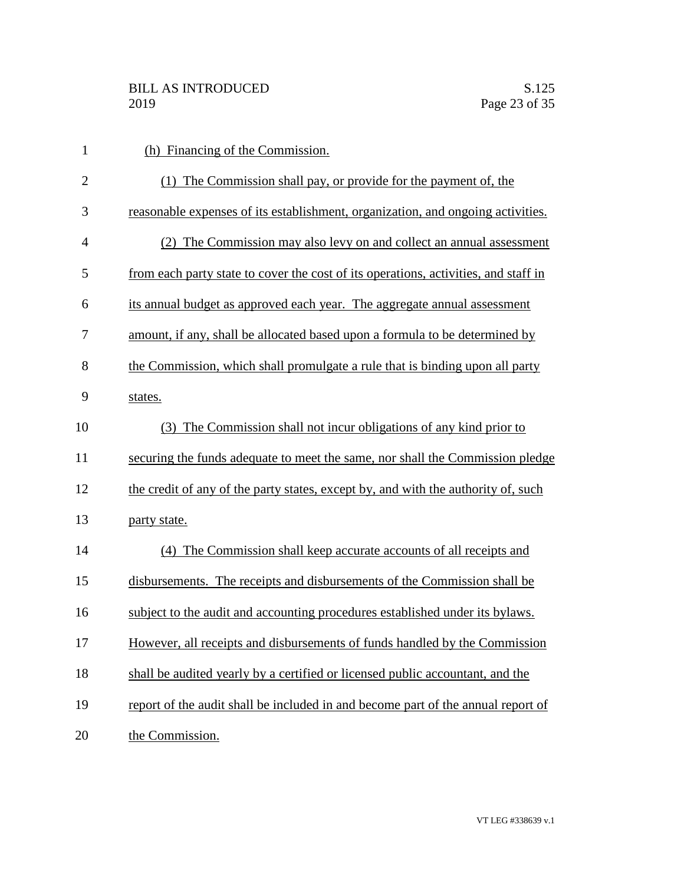| $\mathbf{1}$   | (h) Financing of the Commission.                                                    |
|----------------|-------------------------------------------------------------------------------------|
| $\overline{2}$ | (1) The Commission shall pay, or provide for the payment of, the                    |
| 3              | reasonable expenses of its establishment, organization, and ongoing activities.     |
| $\overline{4}$ | (2) The Commission may also levy on and collect an annual assessment                |
| 5              | from each party state to cover the cost of its operations, activities, and staff in |
| 6              | its annual budget as approved each year. The aggregate annual assessment            |
| 7              | amount, if any, shall be allocated based upon a formula to be determined by         |
| 8              | the Commission, which shall promulgate a rule that is binding upon all party        |
| 9              | states.                                                                             |
| 10             | The Commission shall not incur obligations of any kind prior to<br>(3)              |
| 11             | securing the funds adequate to meet the same, nor shall the Commission pledge       |
| 12             | the credit of any of the party states, except by, and with the authority of, such   |
| 13             | party state.                                                                        |
| 14             | (4) The Commission shall keep accurate accounts of all receipts and                 |
| 15             | disbursements. The receipts and disbursements of the Commission shall be            |
| 16             | subject to the audit and accounting procedures established under its bylaws.        |
| 17             | However, all receipts and disbursements of funds handled by the Commission          |
| 18             | shall be audited yearly by a certified or licensed public accountant, and the       |
| 19             | report of the audit shall be included in and become part of the annual report of    |
| 20             | the Commission.                                                                     |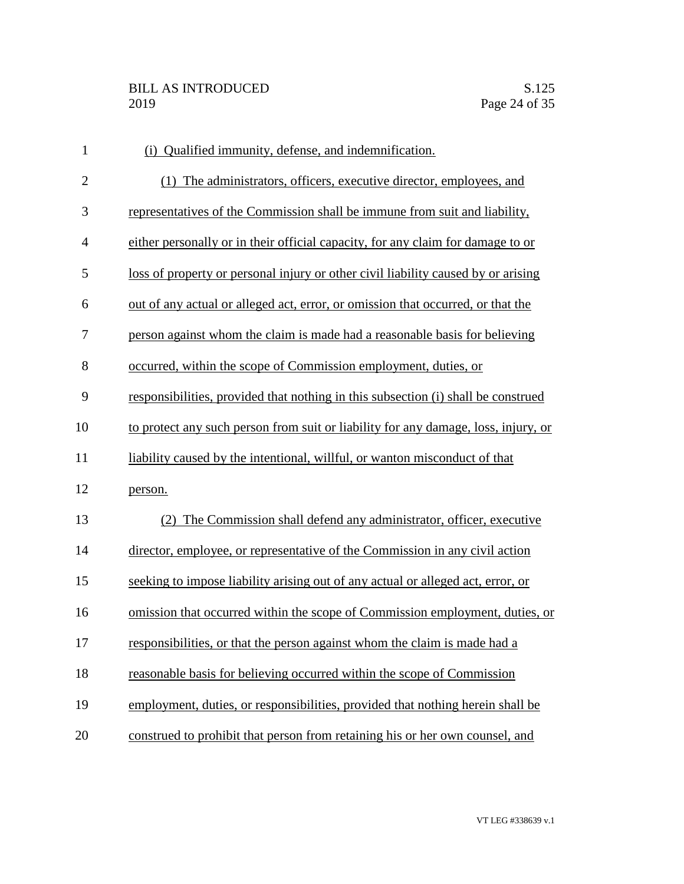| $\mathbf{1}$   | (i) Qualified immunity, defense, and indemnification.                              |
|----------------|------------------------------------------------------------------------------------|
| $\overline{2}$ | (1) The administrators, officers, executive director, employees, and               |
| 3              | representatives of the Commission shall be immune from suit and liability,         |
| $\overline{4}$ | either personally or in their official capacity, for any claim for damage to or    |
| 5              | loss of property or personal injury or other civil liability caused by or arising  |
| 6              | out of any actual or alleged act, error, or omission that occurred, or that the    |
| 7              | person against whom the claim is made had a reasonable basis for believing         |
| 8              | occurred, within the scope of Commission employment, duties, or                    |
| 9              | responsibilities, provided that nothing in this subsection (i) shall be construed  |
| 10             | to protect any such person from suit or liability for any damage, loss, injury, or |
| 11             | liability caused by the intentional, willful, or wanton misconduct of that         |
| 12             | person.                                                                            |
| 13             | (2) The Commission shall defend any administrator, officer, executive              |
| 14             | director, employee, or representative of the Commission in any civil action        |
| 15             | seeking to impose liability arising out of any actual or alleged act, error, or    |
| 16             | omission that occurred within the scope of Commission employment, duties, or       |
| 17             | responsibilities, or that the person against whom the claim is made had a          |
| 18             | reasonable basis for believing occurred within the scope of Commission             |
| 19             | employment, duties, or responsibilities, provided that nothing herein shall be     |
| 20             | construed to prohibit that person from retaining his or her own counsel, and       |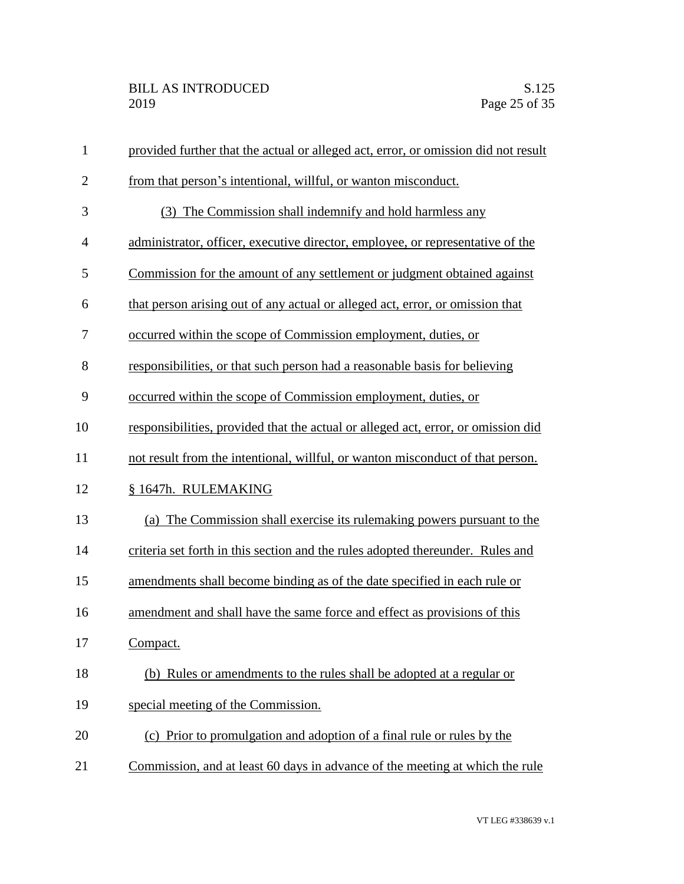| $\mathbf{1}$   | provided further that the actual or alleged act, error, or omission did not result |
|----------------|------------------------------------------------------------------------------------|
| $\overline{2}$ | from that person's intentional, willful, or wanton misconduct.                     |
| 3              | (3) The Commission shall indemnify and hold harmless any                           |
| 4              | administrator, officer, executive director, employee, or representative of the     |
| 5              | Commission for the amount of any settlement or judgment obtained against           |
| 6              | that person arising out of any actual or alleged act, error, or omission that      |
| 7              | occurred within the scope of Commission employment, duties, or                     |
| 8              | responsibilities, or that such person had a reasonable basis for believing         |
| 9              | occurred within the scope of Commission employment, duties, or                     |
| 10             | responsibilities, provided that the actual or alleged act, error, or omission did  |
| 11             | not result from the intentional, willful, or wanton misconduct of that person.     |
| 12             | § 1647h. RULEMAKING                                                                |
| 13             | (a) The Commission shall exercise its rulemaking powers pursuant to the            |
| 14             | criteria set forth in this section and the rules adopted thereunder. Rules and     |
| 15             | amendments shall become binding as of the date specified in each rule or           |
| 16             | amendment and shall have the same force and effect as provisions of this           |
| 17             | Compact.                                                                           |
| 18             | (b) Rules or amendments to the rules shall be adopted at a regular or              |
| 19             | special meeting of the Commission.                                                 |
| 20             | (c) Prior to promulgation and adoption of a final rule or rules by the             |
| 21             | Commission, and at least 60 days in advance of the meeting at which the rule       |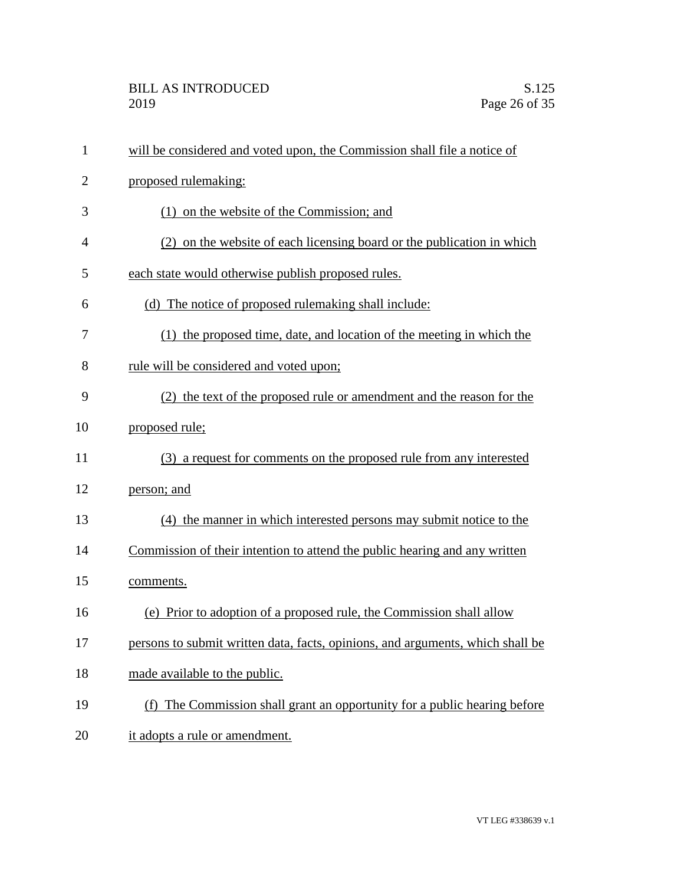| $\mathbf{1}$   | will be considered and voted upon, the Commission shall file a notice of       |
|----------------|--------------------------------------------------------------------------------|
| $\overline{2}$ | proposed rulemaking:                                                           |
| 3              | (1) on the website of the Commission; and                                      |
| 4              | (2) on the website of each licensing board or the publication in which         |
| 5              | each state would otherwise publish proposed rules.                             |
| 6              | (d) The notice of proposed rulemaking shall include:                           |
| 7              | (1) the proposed time, date, and location of the meeting in which the          |
| 8              | rule will be considered and voted upon;                                        |
| 9              | (2) the text of the proposed rule or amendment and the reason for the          |
| 10             | proposed rule;                                                                 |
| 11             | (3) a request for comments on the proposed rule from any interested            |
| 12             | person; and                                                                    |
| 13             | (4) the manner in which interested persons may submit notice to the            |
| 14             | Commission of their intention to attend the public hearing and any written     |
| 15             | comments.                                                                      |
| 16             | (e) Prior to adoption of a proposed rule, the Commission shall allow           |
| 17             | persons to submit written data, facts, opinions, and arguments, which shall be |
| 18             | made available to the public.                                                  |
| 19             | (f) The Commission shall grant an opportunity for a public hearing before      |
| 20             | it adopts a rule or amendment.                                                 |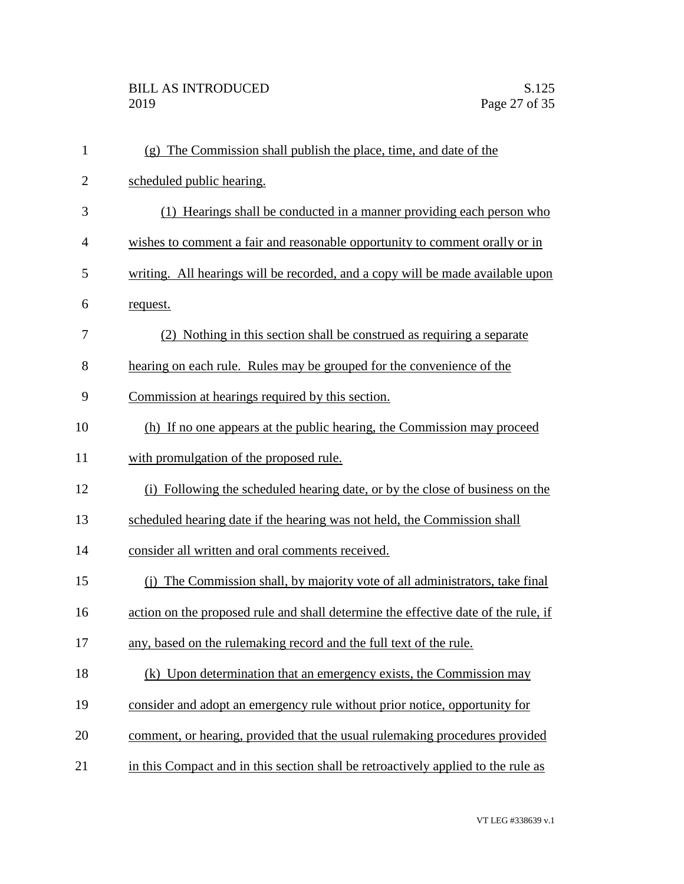| $\mathbf{1}$   | (g) The Commission shall publish the place, time, and date of the                  |
|----------------|------------------------------------------------------------------------------------|
| $\overline{2}$ | scheduled public hearing.                                                          |
| 3              | (1) Hearings shall be conducted in a manner providing each person who              |
| 4              | wishes to comment a fair and reasonable opportunity to comment orally or in        |
| 5              | writing. All hearings will be recorded, and a copy will be made available upon     |
| 6              | request.                                                                           |
| 7              | (2) Nothing in this section shall be construed as requiring a separate             |
| 8              | hearing on each rule. Rules may be grouped for the convenience of the              |
| 9              | Commission at hearings required by this section.                                   |
| 10             | (h) If no one appears at the public hearing, the Commission may proceed            |
| 11             | with promulgation of the proposed rule.                                            |
| 12             | (i) Following the scheduled hearing date, or by the close of business on the       |
| 13             | scheduled hearing date if the hearing was not held, the Commission shall           |
| 14             | consider all written and oral comments received.                                   |
| 15             | (i) The Commission shall, by majority vote of all administrators, take final       |
| 16             | action on the proposed rule and shall determine the effective date of the rule, if |
| 17             | any, based on the rulemaking record and the full text of the rule.                 |
| 18             | (k) Upon determination that an emergency exists, the Commission may                |
| 19             | consider and adopt an emergency rule without prior notice, opportunity for         |
| 20             | comment, or hearing, provided that the usual rulemaking procedures provided        |
| 21             | in this Compact and in this section shall be retroactively applied to the rule as  |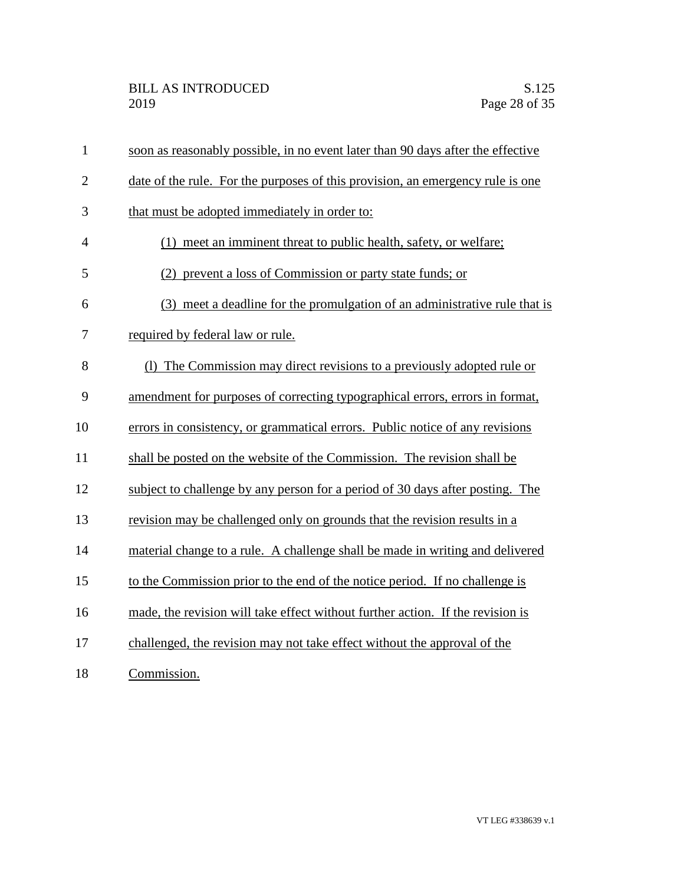| $\mathbf{1}$   | soon as reasonably possible, in no event later than 90 days after the effective |
|----------------|---------------------------------------------------------------------------------|
| $\overline{2}$ | date of the rule. For the purposes of this provision, an emergency rule is one  |
| 3              | that must be adopted immediately in order to:                                   |
| $\overline{4}$ | (1) meet an imminent threat to public health, safety, or welfare;               |
| 5              | (2) prevent a loss of Commission or party state funds; or                       |
| 6              | (3) meet a deadline for the promulgation of an administrative rule that is      |
| 7              | required by federal law or rule.                                                |
| 8              | (1) The Commission may direct revisions to a previously adopted rule or         |
| 9              | amendment for purposes of correcting typographical errors, errors in format,    |
| 10             | errors in consistency, or grammatical errors. Public notice of any revisions    |
| 11             | shall be posted on the website of the Commission. The revision shall be         |
| 12             | subject to challenge by any person for a period of 30 days after posting. The   |
| 13             | revision may be challenged only on grounds that the revision results in a       |
| 14             | material change to a rule. A challenge shall be made in writing and delivered   |
| 15             | to the Commission prior to the end of the notice period. If no challenge is     |
| 16             | made, the revision will take effect without further action. If the revision is  |
| 17             | challenged, the revision may not take effect without the approval of the        |
| 18             | Commission.                                                                     |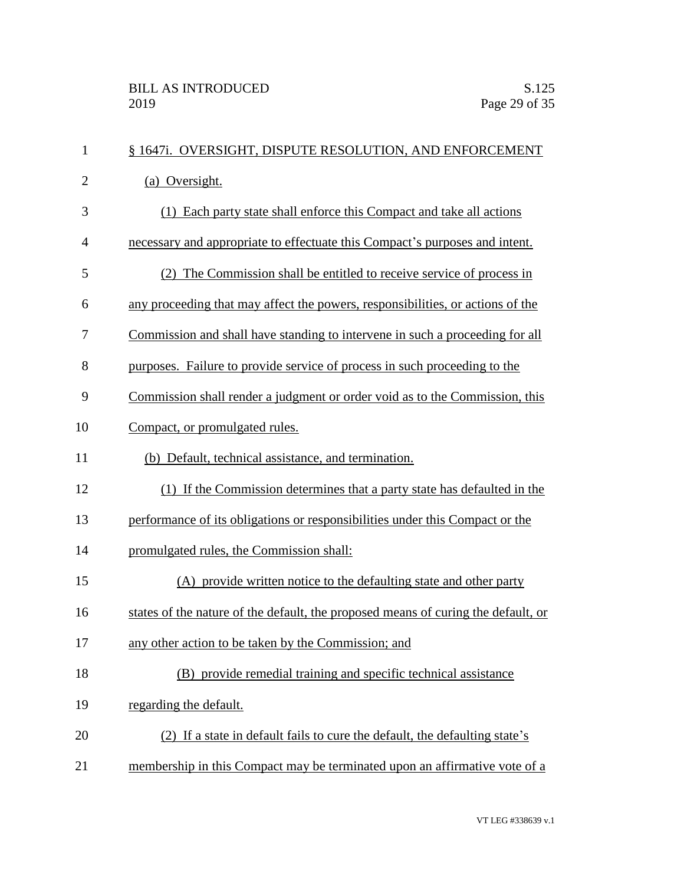| $\mathbf{1}$   | § 1647i. OVERSIGHT, DISPUTE RESOLUTION, AND ENFORCEMENT                           |
|----------------|-----------------------------------------------------------------------------------|
| $\overline{2}$ | (a) Oversight.                                                                    |
| 3              | (1) Each party state shall enforce this Compact and take all actions              |
| $\overline{4}$ | necessary and appropriate to effectuate this Compact's purposes and intent.       |
| 5              | (2) The Commission shall be entitled to receive service of process in             |
| 6              | any proceeding that may affect the powers, responsibilities, or actions of the    |
| 7              | Commission and shall have standing to intervene in such a proceeding for all      |
| 8              | purposes. Failure to provide service of process in such proceeding to the         |
| 9              | Commission shall render a judgment or order void as to the Commission, this       |
| 10             | Compact, or promulgated rules.                                                    |
| 11             | (b) Default, technical assistance, and termination.                               |
| 12             | (1) If the Commission determines that a party state has defaulted in the          |
| 13             | performance of its obligations or responsibilities under this Compact or the      |
| 14             | promulgated rules, the Commission shall:                                          |
| 15             | (A) provide written notice to the defaulting state and other party                |
| 16             | states of the nature of the default, the proposed means of curing the default, or |
| 17             | any other action to be taken by the Commission; and                               |
| 18             | (B) provide remedial training and specific technical assistance                   |
| 19             | regarding the default.                                                            |
| 20             | (2) If a state in default fails to cure the default, the defaulting state's       |
| 21             | membership in this Compact may be terminated upon an affirmative vote of a        |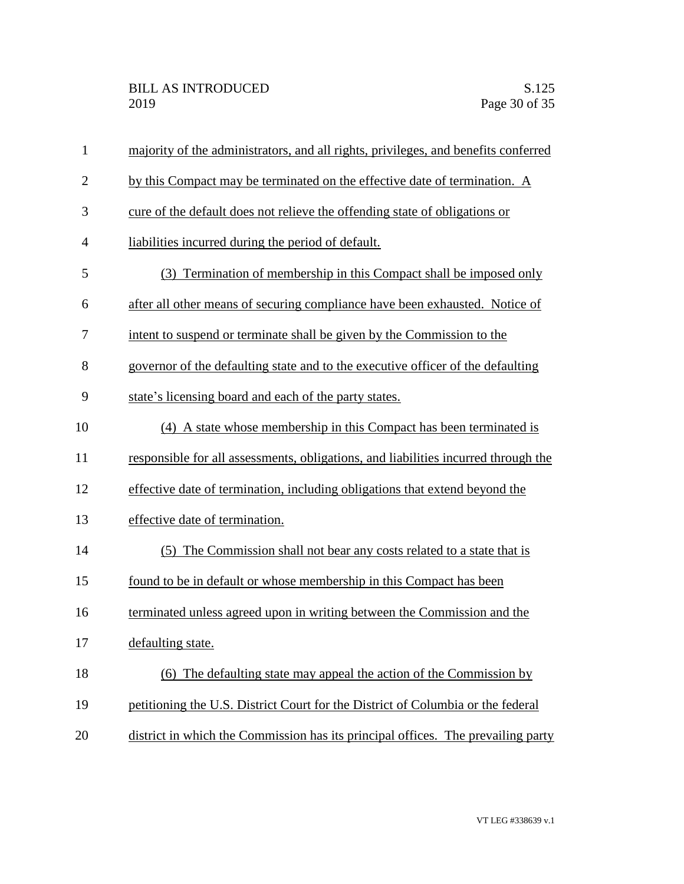| $\mathbf{1}$   | majority of the administrators, and all rights, privileges, and benefits conferred |
|----------------|------------------------------------------------------------------------------------|
| $\overline{2}$ | by this Compact may be terminated on the effective date of termination. A          |
| 3              | cure of the default does not relieve the offending state of obligations or         |
| $\overline{4}$ | liabilities incurred during the period of default.                                 |
| 5              | (3) Termination of membership in this Compact shall be imposed only                |
| 6              | after all other means of securing compliance have been exhausted. Notice of        |
| 7              | intent to suspend or terminate shall be given by the Commission to the             |
| 8              | governor of the defaulting state and to the executive officer of the defaulting    |
| 9              | state's licensing board and each of the party states.                              |
| 10             | (4) A state whose membership in this Compact has been terminated is                |
| 11             | responsible for all assessments, obligations, and liabilities incurred through the |
| 12             | effective date of termination, including obligations that extend beyond the        |
| 13             | effective date of termination.                                                     |
| 14             | (5) The Commission shall not bear any costs related to a state that is             |
| 15             | found to be in default or whose membership in this Compact has been                |
| 16             | terminated unless agreed upon in writing between the Commission and the            |
| 17             | defaulting state.                                                                  |
| 18             | The defaulting state may appeal the action of the Commission by<br>(6)             |
| 19             | petitioning the U.S. District Court for the District of Columbia or the federal    |
| 20             | district in which the Commission has its principal offices. The prevailing party   |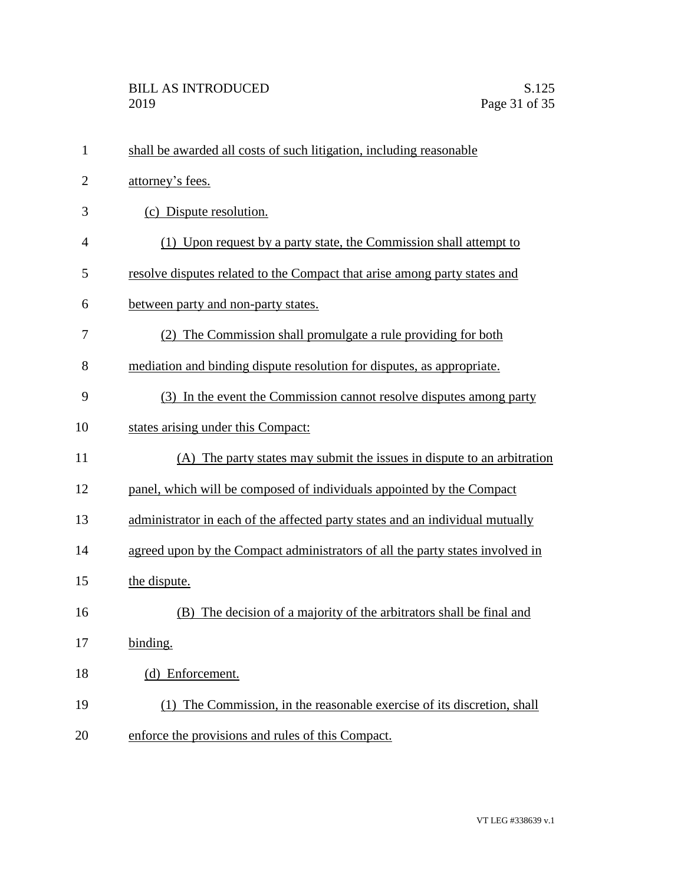| $\mathbf{1}$   | shall be awarded all costs of such litigation, including reasonable           |
|----------------|-------------------------------------------------------------------------------|
| $\overline{2}$ | attorney's fees.                                                              |
| 3              | (c) Dispute resolution.                                                       |
| $\overline{4}$ | (1) Upon request by a party state, the Commission shall attempt to            |
| 5              | resolve disputes related to the Compact that arise among party states and     |
| 6              | between party and non-party states.                                           |
| 7              | (2) The Commission shall promulgate a rule providing for both                 |
| 8              | mediation and binding dispute resolution for disputes, as appropriate.        |
| 9              | (3) In the event the Commission cannot resolve disputes among party           |
| 10             | states arising under this Compact:                                            |
| 11             | (A) The party states may submit the issues in dispute to an arbitration       |
| 12             | panel, which will be composed of individuals appointed by the Compact         |
| 13             | administrator in each of the affected party states and an individual mutually |
| 14             | agreed upon by the Compact administrators of all the party states involved in |
| 15             | the dispute.                                                                  |
| 16             | (B) The decision of a majority of the arbitrators shall be final and          |
| 17             | binding.                                                                      |
| 18             | (d) Enforcement.                                                              |
| 19             | (1) The Commission, in the reasonable exercise of its discretion, shall       |
| 20             | enforce the provisions and rules of this Compact.                             |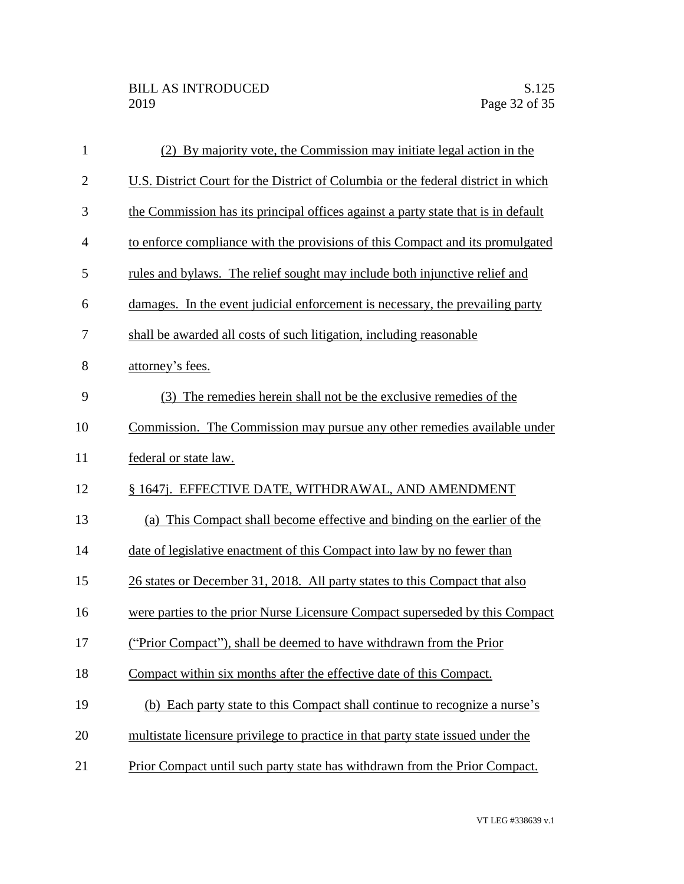| $\mathbf{1}$   | (2) By majority vote, the Commission may initiate legal action in the             |
|----------------|-----------------------------------------------------------------------------------|
| $\overline{2}$ | U.S. District Court for the District of Columbia or the federal district in which |
| 3              | the Commission has its principal offices against a party state that is in default |
| 4              | to enforce compliance with the provisions of this Compact and its promulgated     |
| 5              | rules and bylaws. The relief sought may include both injunctive relief and        |
| 6              | damages. In the event judicial enforcement is necessary, the prevailing party     |
| 7              | shall be awarded all costs of such litigation, including reasonable               |
| 8              | attorney's fees.                                                                  |
| 9              | (3) The remedies herein shall not be the exclusive remedies of the                |
| 10             | Commission. The Commission may pursue any other remedies available under          |
| 11             | federal or state law.                                                             |
| 12             | § 1647j. EFFECTIVE DATE, WITHDRAWAL, AND AMENDMENT                                |
| 13             | (a) This Compact shall become effective and binding on the earlier of the         |
| 14             | date of legislative enactment of this Compact into law by no fewer than           |
| 15             | 26 states or December 31, 2018. All party states to this Compact that also        |
| 16             | were parties to the prior Nurse Licensure Compact superseded by this Compact      |
| 17             | ("Prior Compact"), shall be deemed to have withdrawn from the Prior               |
| 18             | Compact within six months after the effective date of this Compact.               |
| 19             | (b) Each party state to this Compact shall continue to recognize a nurse's        |
| 20             | multistate licensure privilege to practice in that party state issued under the   |
| 21             | Prior Compact until such party state has withdrawn from the Prior Compact.        |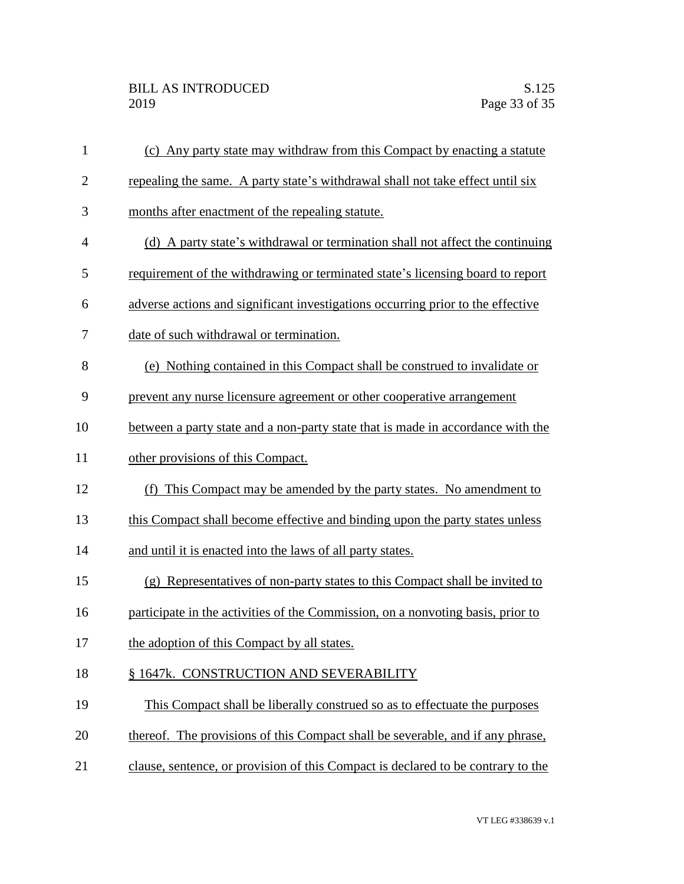| $\mathbf{1}$ | (c) Any party state may withdraw from this Compact by enacting a statute         |
|--------------|----------------------------------------------------------------------------------|
| $\mathbf{2}$ | repealing the same. A party state's withdrawal shall not take effect until six   |
| 3            | months after enactment of the repealing statute.                                 |
| 4            | (d) A party state's withdrawal or termination shall not affect the continuing    |
| 5            | requirement of the withdrawing or terminated state's licensing board to report   |
| 6            | adverse actions and significant investigations occurring prior to the effective  |
| 7            | date of such withdrawal or termination.                                          |
| 8            | (e) Nothing contained in this Compact shall be construed to invalidate or        |
| 9            | prevent any nurse licensure agreement or other cooperative arrangement           |
| 10           | between a party state and a non-party state that is made in accordance with the  |
| 11           | other provisions of this Compact.                                                |
| 12           | (f) This Compact may be amended by the party states. No amendment to             |
| 13           | this Compact shall become effective and binding upon the party states unless     |
| 14           | and until it is enacted into the laws of all party states.                       |
| 15           | (g) Representatives of non-party states to this Compact shall be invited to      |
| 16           | participate in the activities of the Commission, on a nonvoting basis, prior to  |
| 17           | the adoption of this Compact by all states.                                      |
| 18           | § 1647k. CONSTRUCTION AND SEVERABILITY                                           |
| 19           | This Compact shall be liberally construed so as to effectuate the purposes       |
| 20           | thereof. The provisions of this Compact shall be severable, and if any phrase,   |
| 21           | clause, sentence, or provision of this Compact is declared to be contrary to the |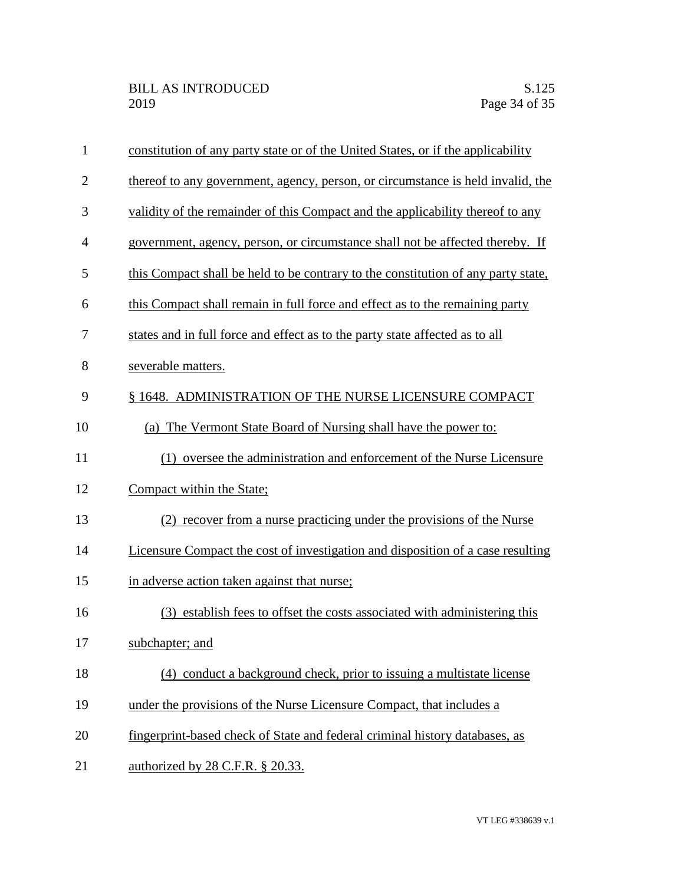| $\mathbf{1}$   | constitution of any party state or of the United States, or if the applicability  |
|----------------|-----------------------------------------------------------------------------------|
| $\overline{2}$ | thereof to any government, agency, person, or circumstance is held invalid, the   |
| 3              | validity of the remainder of this Compact and the applicability thereof to any    |
| 4              | government, agency, person, or circumstance shall not be affected thereby. If     |
| 5              | this Compact shall be held to be contrary to the constitution of any party state, |
| 6              | this Compact shall remain in full force and effect as to the remaining party      |
| 7              | states and in full force and effect as to the party state affected as to all      |
| 8              | severable matters.                                                                |
| 9              | § 1648. ADMINISTRATION OF THE NURSE LICENSURE COMPACT                             |
| 10             | The Vermont State Board of Nursing shall have the power to:<br>(a)                |
| 11             | (1) oversee the administration and enforcement of the Nurse Licensure             |
| 12             | Compact within the State;                                                         |
| 13             | (2) recover from a nurse practicing under the provisions of the Nurse             |
| 14             | Licensure Compact the cost of investigation and disposition of a case resulting   |
| 15             | in adverse action taken against that nurse;                                       |
| 16             | (3) establish fees to offset the costs associated with administering this         |
| 17             | subchapter; and                                                                   |
| 18             | (4) conduct a background check, prior to issuing a multistate license             |
| 19             | under the provisions of the Nurse Licensure Compact, that includes a              |
| 20             | fingerprint-based check of State and federal criminal history databases, as       |
| 21             | authorized by 28 C.F.R. § 20.33.                                                  |